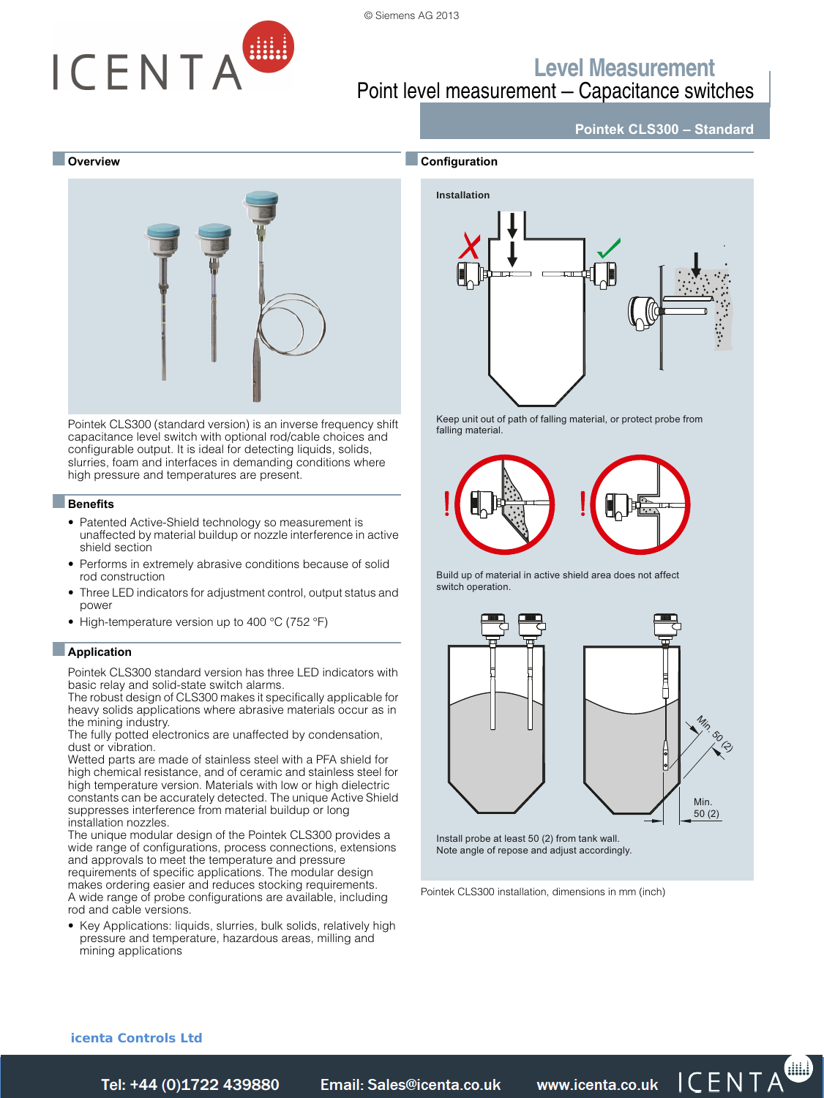

# ICENTA

### **Level Measurement** Point level measurement — Capacitance switches

#### ■ **Overview**



Pointek CLS300 (standard version) is an inverse frequency shift capacitance level switch with optional rod/cable choices and configurable output. It is ideal for detecting liquids, solids, slurries, foam and interfaces in demanding conditions where high pressure and temperatures are present.

#### ■**Benefits**

- Patented Active-Shield technology so measurement is unaffected by material buildup or nozzle interference in active shield section
- Performs in extremely abrasive conditions because of solid rod construction
- Three LED indicators for adjustment control, output status and power
- High-temperature version up to 400 °C (752 °F)

#### ■**Application**

Pointek CLS300 standard version has three LED indicators with basic relay and solid-state switch alarms.

The robust design of CLS300 makes it specifically applicable for heavy solids applications where abrasive materials occur as in the mining industry.

The fully potted electronics are unaffected by condensation, dust or vibration.

Wetted parts are made of stainless steel with a PFA shield for high chemical resistance, and of ceramic and stainless steel for high temperature version. Materials with low or high dielectric constants can be accurately detected. The unique Active Shield suppresses interference from material buildup or long installation nozzles.

The unique modular design of the Pointek CLS300 provides a wide range of configurations, process connections, extensions and approvals to meet the temperature and pressure requirements of specific applications. The modular design makes ordering easier and reduces stocking requirements. A wide range of probe configurations are available, including rod and cable versions.

• Key Applications: liquids, slurries, bulk solids, relatively high pressure and temperature, hazardous areas, milling and mining applications



**Pointek CLS300 – Standard**

Keep unit out of path of falling material, or protect probe from falling material.







Note angle of repose and adjust accordingly.

Pointek CLS300 installation, dimensions in mm (inch)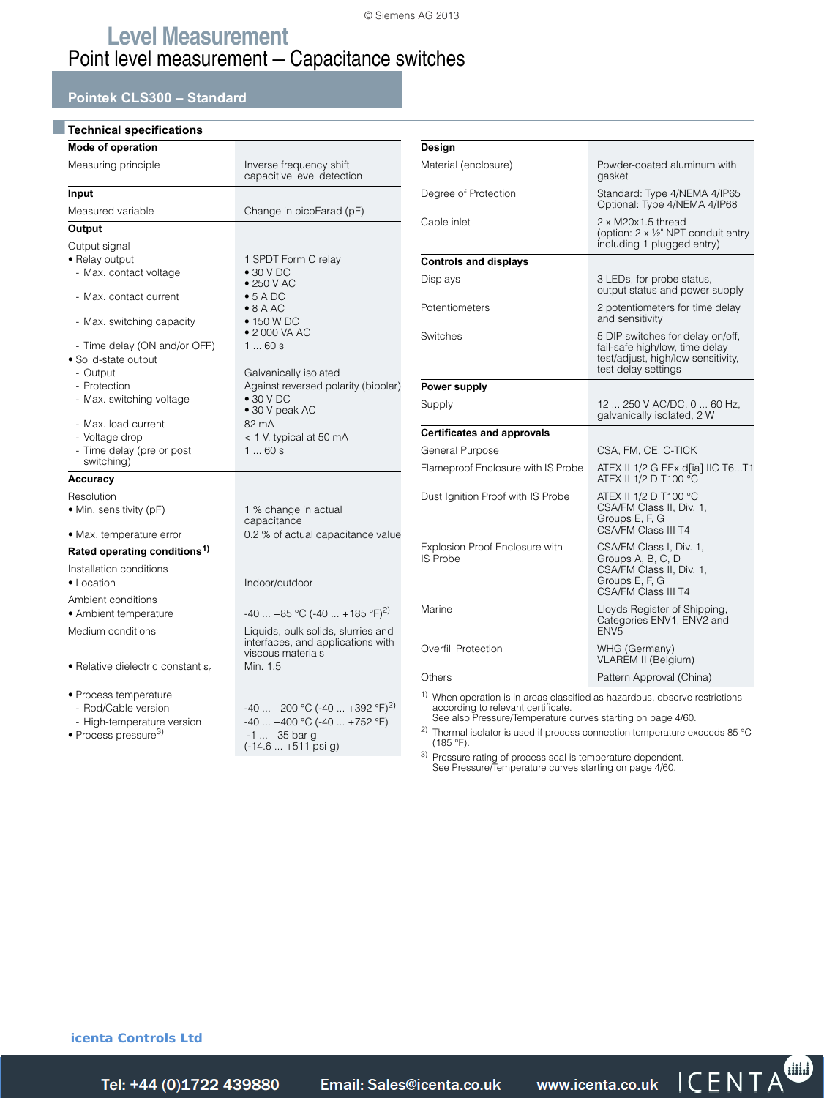#### **Pointek CLS300 – Standard**

| Inverse frequency shift<br>capacitive level detection                                                            |
|------------------------------------------------------------------------------------------------------------------|
|                                                                                                                  |
| Change in picoFarad (pF)                                                                                         |
|                                                                                                                  |
| 1 SPDT Form C relay<br>$\bullet$ 30 V DC<br>$\bullet$ 250 V AC                                                   |
| $\bullet$ 5 A DC<br>$\bullet$ 8 A AC                                                                             |
| • 150 W DC<br>• 2 000 VA AC                                                                                      |
| 160s<br>Galvanically isolated<br>Against reversed polarity (bipolar)<br>$\bullet$ 30 V DC<br>· 30 V peak AC      |
| 82 mA<br>$<$ 1 V, typical at 50 mA<br>160s                                                                       |
|                                                                                                                  |
| 1 % change in actual<br>capacitance                                                                              |
| 0.2 % of actual capacitance value                                                                                |
|                                                                                                                  |
| Indoor/outdoor                                                                                                   |
| $-40$ $+85$ °C (-40 $+185$ °F) <sup>2)</sup>                                                                     |
| Liquids, bulk solids, slurries and<br>interfaces, and applications with<br>viscous materials                     |
| Min. 1.5                                                                                                         |
| $-40$ +200 °C (-40  +392 °F) <sup>2)</sup><br>$-40+400 °C (-40+752 °F)$<br>$-1 +35$ bar g<br>(-14.6  +511 psi g) |
|                                                                                                                  |

| Design                                                                                |                                                                                                                                 |
|---------------------------------------------------------------------------------------|---------------------------------------------------------------------------------------------------------------------------------|
| Material (enclosure)                                                                  | Powder-coated aluminum with<br>gasket                                                                                           |
| Degree of Protection                                                                  | Standard: Type 4/NEMA 4/IP65<br>Optional: Type 4/NEMA 4/IP68                                                                    |
| Cable inlet                                                                           | 2 x M20x1.5 thread<br>(option: $2 \times \frac{1}{2}$ " NPT conduit entry<br>including 1 plugged entry)                         |
| <b>Controls and displays</b>                                                          |                                                                                                                                 |
| Displays                                                                              | 3 LEDs, for probe status,<br>output status and power supply                                                                     |
| Potentiometers                                                                        | 2 potentiometers for time delay<br>and sensitivity                                                                              |
| Switches                                                                              | 5 DIP switches for delay on/off,<br>fail-safe high/low, time delay<br>test/adjust, high/low sensitivity,<br>test delay settings |
| Power supply                                                                          |                                                                                                                                 |
| Supply                                                                                | 12  250 V AC/DC, 0  60 Hz,<br>galvanically isolated, 2 W                                                                        |
| <b>Certificates and approvals</b>                                                     |                                                                                                                                 |
| General Purpose                                                                       | CSA, FM, CE, C-TICK                                                                                                             |
| Flameproof Enclosure with IS Probe                                                    | ATEX II 1/2 G EEx d[ia] IIC T6T1<br>ATEX II 1/2 D T100 °C                                                                       |
| Dust Ignition Proof with IS Probe                                                     | ATEX II 1/2 D T100 °C<br>CSA/FM Class II, Div. 1,<br>Groups E, F, G<br><b>CSA/FM Class III T4</b>                               |
| Explosion Proof Enclosure with<br><b>IS Probe</b>                                     | CSA/FM Class I, Div. 1,<br>Groups A, B, C, D<br>CSA/FM Class II, Div. 1,<br>Groups E, F, G<br>CSA/FM Class III T4               |
| Marine                                                                                | Lloyds Register of Shipping,<br>Categories ENV1, ENV2 and<br>ENV <sub>5</sub>                                                   |
| <b>Overfill Protection</b>                                                            | WHG (Germany)<br>VLAREM II (Belgium)                                                                                            |
| Others                                                                                | Pattern Approval (China)                                                                                                        |
| $\frac{1}{1}$ When eperation is in erece elegating as bezardeus, aboaring restriction |                                                                                                                                 |

1) When operation is in areas classified as hazardous, observe restrictions according to relevant certificate. See also Pressure/Temperature curves starting on page 4/60.

<sup>2)</sup> Thermal isolator is used if process connection temperature exceeds 85 °C (185 °F).

3) Pressure rating of process seal is temperature dependent. See Pressure/Temperature curves starting on page 4/60.

#### **icenta Controls Ltd**

Tel: +44 (0)1722 439880 *Telail: Sales@icenta.co.uk* www.icenta.co.uk  $\mathsf{ICENTA}^{\bullet}$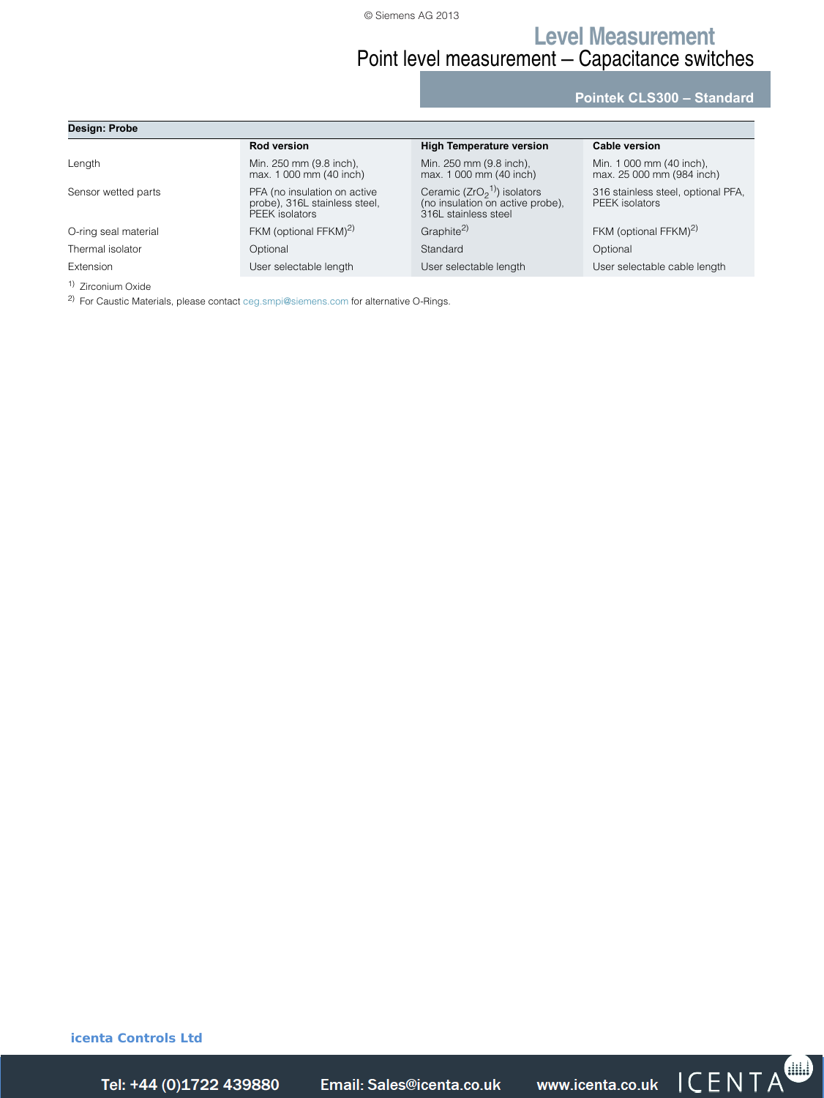### **Level Measurement** Point level measurement — Capacitance switches

**Pointek CLS300 – Standard**

| Design: Probe        |                                                                                 |                                                                                           |                                                       |  |  |  |  |
|----------------------|---------------------------------------------------------------------------------|-------------------------------------------------------------------------------------------|-------------------------------------------------------|--|--|--|--|
|                      | <b>Rod version</b>                                                              | <b>High Temperature version</b>                                                           | Cable version                                         |  |  |  |  |
| Length               | Min. 250 mm (9.8 inch),<br>max. 1 000 mm (40 inch)                              | Min. 250 mm (9.8 inch).<br>max. 1 000 mm (40 inch)                                        | Min. 1 000 mm (40 inch),<br>max. 25 000 mm (984 inch) |  |  |  |  |
| Sensor wetted parts  | PFA (no insulation on active<br>probe), 316L stainless steel,<br>PEEK isolators | Ceramic ( $ZrO21$ ) isolators<br>(no insulation on active probe),<br>316L stainless steel | 316 stainless steel, optional PFA,<br>PEEK isolators  |  |  |  |  |
| O-ring seal material | FKM (optional FFKM) <sup>2)</sup>                                               | Graphite <sup>2)</sup>                                                                    | FKM (optional FFKM) <sup>2)</sup>                     |  |  |  |  |
| Thermal isolator     | Optional                                                                        | Standard                                                                                  | Optional                                              |  |  |  |  |
| Extension            | User selectable length                                                          | User selectable length                                                                    | User selectable cable length                          |  |  |  |  |

1) Zirconium Oxide

2) For Caustic Materials, please contact ceg.smpi@siemens.com for alternative O-Rings.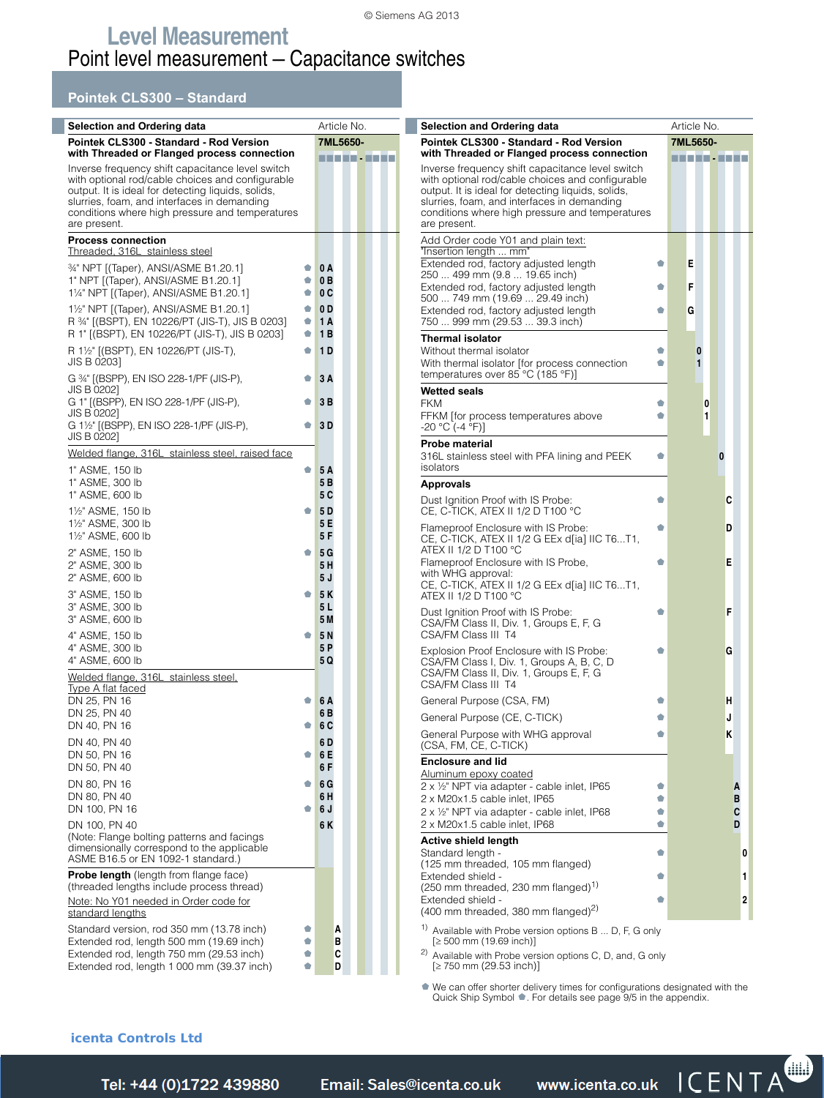#### **Pointek CLS300 – Standard**

| <b>Selection and Ordering data</b>                                                                                                                                                                                                                                           | Article No.<br>Selection and Ordering data |                                                                                                                                                                                                                                                                              | Article No.                        |
|------------------------------------------------------------------------------------------------------------------------------------------------------------------------------------------------------------------------------------------------------------------------------|--------------------------------------------|------------------------------------------------------------------------------------------------------------------------------------------------------------------------------------------------------------------------------------------------------------------------------|------------------------------------|
| Pointek CLS300 - Standard - Rod Version                                                                                                                                                                                                                                      | 7ML5650-                                   | Pointek CLS300 - Standard - Rod Version                                                                                                                                                                                                                                      | 7ML5650-                           |
| with Threaded or Flanged process connection                                                                                                                                                                                                                                  | man Jawa                                   | with Threaded or Flanged process connection                                                                                                                                                                                                                                  | <b><i>BRANCH-BARN</i></b>          |
| Inverse frequency shift capacitance level switch<br>with optional rod/cable choices and configurable<br>output. It is ideal for detecting liquids, solids,<br>slurries, foam, and interfaces in demanding<br>conditions where high pressure and temperatures<br>are present. |                                            | Inverse frequency shift capacitance level switch<br>with optional rod/cable choices and configurable<br>output. It is ideal for detecting liquids, solids,<br>slurries, foam, and interfaces in demanding<br>conditions where high pressure and temperatures<br>are present. |                                    |
| <b>Process connection</b><br>Threaded, 316L stainless steel                                                                                                                                                                                                                  |                                            | Add Order code Y01 and plain text:<br>"Insertion length  mm"                                                                                                                                                                                                                 |                                    |
| 34" NPT [(Taper), ANSI/ASME B1.20.1]<br>1" NPT [(Taper), ANSI/ASME B1.20.1]<br>11/4" NPT [(Taper), ANSI/ASME B1.20.1]                                                                                                                                                        | 0 A<br>۰<br>0B<br>0C                       | Extended rod, factory adjusted length<br>250  499 mm (9.8  19.65 inch)<br>Extended rod, factory adjusted length<br>500  749 mm (19.69  29.49 inch)                                                                                                                           | E<br>ė<br>F<br>۰                   |
| 1 <sup>1</sup> / <sub>2</sub> " NPT [(Taper), ANSI/ASME B1.20.1]<br>R 34" [(BSPT), EN 10226/PT (JIS-T), JIS B 0203]<br>R 1" [(BSPT), EN 10226/PT (JIS-T), JIS B 0203]                                                                                                        | 0 D<br>1 A<br>۰<br>1B<br>۰                 | Extended rod, factory adjusted length<br>750  999 mm (29.53  39.3 inch)<br><b>Thermal isolator</b>                                                                                                                                                                           | G<br>٠                             |
| R 1½" [(BSPT), EN 10226/PT (JIS-T),<br>JIS B 0203]                                                                                                                                                                                                                           | 1 <sub>D</sub><br>۰                        | Without thermal isolator<br>With thermal isolator [for process connection                                                                                                                                                                                                    | $\bf{0}$<br>۰<br>٠<br>$\mathbf{1}$ |
| G 34" [(BSPP), EN ISO 228-1/PF (JIS-P),<br>JIS B 0202]                                                                                                                                                                                                                       | 3A<br>۰                                    | temperatures over 85 °C (185 °F)]<br><b>Wetted seals</b>                                                                                                                                                                                                                     |                                    |
| G 1" [(BSPP), EN ISO 228-1/PF (JIS-P),<br>JIS B 0202]<br>G 11/2" [(BSPP), EN ISO 228-1/PF (JIS-P),                                                                                                                                                                           | 3B<br>3D<br>۰                              | <b>FKM</b><br>FFKM [for process temperatures above<br>$-20 °C (-4 °F)]$                                                                                                                                                                                                      | Ó<br>$\bf{0}$<br>1<br>۰            |
| JIS B 0202]                                                                                                                                                                                                                                                                  |                                            | <b>Probe material</b>                                                                                                                                                                                                                                                        |                                    |
| Welded flange, 316L stainless steel, raised face<br>1" ASME, 150 lb                                                                                                                                                                                                          | ۰<br>5 A                                   | 316L stainless steel with PFA lining and PEEK<br>isolators                                                                                                                                                                                                                   | ۰<br>0                             |
| 1" ASME, 300 lb<br>1" ASME, 600 lb                                                                                                                                                                                                                                           | 5 B<br>5 C                                 | <b>Approvals</b><br>Dust Ignition Proof with IS Probe:                                                                                                                                                                                                                       | C                                  |
| 11/2" ASME, 150 lb<br>11/2" ASME, 300 lb<br>11/2" ASME, 600 lb                                                                                                                                                                                                               | 5 D<br>۰<br>5 E<br>5 F                     | CE, C-TICK, ATEX II 1/2 D T100 °C<br>Flameproof Enclosure with IS Probe:                                                                                                                                                                                                     | D                                  |
| 2" ASME, 150 lb<br>2" ASME, 300 lb<br>2" ASME, 600 lb<br>3" ASME, 150 lb                                                                                                                                                                                                     | 5G<br>۰<br>5 H<br>5 J<br>5K<br>۰           | CE, C-TICK, ATEX II 1/2 G EEx d[ia] IIC T6T1,<br>ATEX II 1/2 D T100 °C<br>Flameproof Enclosure with IS Probe,<br>with WHG approval:<br>CE, C-TICK, ATEX II 1/2 G EEx d[ia] IIC T6T1,<br>ATEX II 1/2 D T100 °C                                                                | E                                  |
| 3" ASME, 300 lb<br>3" ASME, 600 lb<br>4" ASME, 150 lb                                                                                                                                                                                                                        | 5 L<br>5 M<br><b>5N</b><br>۰               | Dust Ignition Proof with IS Probe:<br>CSA/FM Class II, Div. 1, Groups E, F, G<br>CSA/FM Class III T4                                                                                                                                                                         | F                                  |
| 4" ASME, 300 lb<br>4" ASME, 600 lb<br>Welded flange, 316L stainless steel,                                                                                                                                                                                                   | 5 P<br>5 Q                                 | Explosion Proof Enclosure with IS Probe:<br>CSA/FM Class I, Div. 1, Groups A, B, C, D<br>CSA/FM Class II, Div. 1, Groups E, F, G<br>CSA/FM Class III T4                                                                                                                      | G<br>۰                             |
| <b>Type A flat faced</b><br>DN 25, PN 16                                                                                                                                                                                                                                     | 6 A<br>÷                                   | General Purpose (CSA, FM)                                                                                                                                                                                                                                                    | н                                  |
| DN 25, PN 40<br>DN 40, PN 16                                                                                                                                                                                                                                                 | 6 B<br>6 C<br>۰                            | General Purpose (CE, C-TICK)                                                                                                                                                                                                                                                 | J                                  |
| DN 40, PN 40<br>DN 50, PN 16                                                                                                                                                                                                                                                 | 6 D<br>6 E<br>۰                            | General Purpose with WHG approval<br>(CSA, FM, CE, C-TICK)                                                                                                                                                                                                                   | ĸ                                  |
| DN 50, PN 40                                                                                                                                                                                                                                                                 | 6 F                                        | <b>Enclosure and lid</b><br>Aluminum epoxy coated                                                                                                                                                                                                                            |                                    |
| DN 80, PN 16<br>DN 80, PN 40                                                                                                                                                                                                                                                 | 6 G<br>۰<br>6 H                            | 2 x 1/2" NPT via adapter - cable inlet, IP65<br>2 x M20x1.5 cable inlet, IP65                                                                                                                                                                                                | ė<br>A<br>B<br>٠                   |
| DN 100, PN 16<br>DN 100, PN 40                                                                                                                                                                                                                                               | 6 J<br>۰<br>6K                             | 2 x 1/2" NPT via adapter - cable inlet, IP68<br>2 x M20x1.5 cable inlet, IP68                                                                                                                                                                                                | C<br>ė<br>D<br>۰                   |
| (Note: Flange bolting patterns and facings<br>dimensionally correspond to the applicable<br>ASME B16.5 or EN 1092-1 standard.)                                                                                                                                               |                                            | <b>Active shield length</b><br>Standard length -<br>(125 mm threaded, 105 mm flanged)                                                                                                                                                                                        | $\mathbf{0}$<br>٠                  |
| <b>Probe length</b> (length from flange face)<br>(threaded lengths include process thread)                                                                                                                                                                                   |                                            | Extended shield -<br>(250 mm threaded, 230 mm flanged) <sup>1)</sup>                                                                                                                                                                                                         | 1<br>۰                             |
| Note: No Y01 needed in Order code for<br>standard lengths                                                                                                                                                                                                                    |                                            | Extended shield -<br>(400 mm threaded, 380 mm flanged) <sup>2)</sup>                                                                                                                                                                                                         | $\boldsymbol{2}$                   |
| Standard version, rod 350 mm (13.78 inch)<br>Extended rod, length 500 mm (19.69 inch)<br>Extended rod, length 750 mm (29.53 inch)<br>Extended rod, length 1 000 mm (39.37 inch)                                                                                              | Ó<br>A<br>в<br>¢<br>c<br>۰<br>D<br>۰       | <sup>1)</sup> Available with Probe version options B  D, F, G only<br>$[2 500$ mm (19.69 inch)]<br><sup>2)</sup> Available with Probe version options C, D, and, G only<br>$[2 750$ mm (29.53 inch)]                                                                         |                                    |

¢ [We can offer shorter delivery time](mailto:sales@icenta.co.uk)[s for configurations designated w](http://www.icenta.co.uk)ith the Quick Ship Symbol ¢. For details see page 9/5 in the appendix.

#### **icenta Controls Ltd**

Tel: +44 (0)1722 439880

**Extended rod, length 1 000 mm (39.37 inch) c D**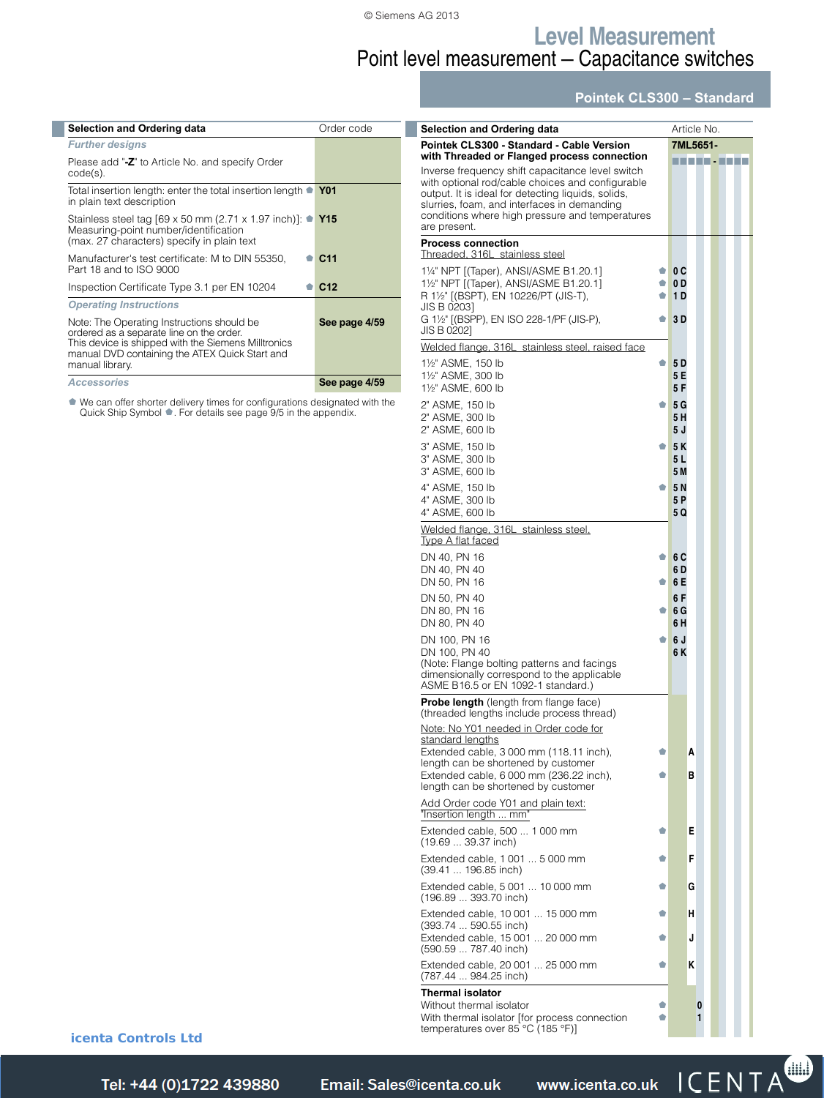### **Level Measurement** Point level measurement — Capacitance switches

### **Pointek CLS300 – Standard**

| Selection and Ordering data                                                                                                                                                                                        | Order code      |
|--------------------------------------------------------------------------------------------------------------------------------------------------------------------------------------------------------------------|-----------------|
| <b>Further designs</b>                                                                                                                                                                                             |                 |
| Please add "-Z" to Article No. and specify Order<br>$code(s)$ .                                                                                                                                                    |                 |
| Total insertion length: enter the total insertion length ● Y01<br>in plain text description                                                                                                                        |                 |
| Stainless steel tag [69 x 50 mm (2.71 x 1.97 inch)]: $\bullet$ Y15<br>Measuring-point number/identification<br>(max. 27 characters) specify in plain text                                                          |                 |
| Manufacturer's test certificate: M to DIN 55350,<br>Part 18 and to ISO 9000                                                                                                                                        | C <sub>11</sub> |
| Inspection Certificate Type 3.1 per EN 10204                                                                                                                                                                       | C <sub>12</sub> |
| <b>Operating Instructions</b>                                                                                                                                                                                      |                 |
| Note: The Operating Instructions should be<br>ordered as a separate line on the order.<br>This device is shipped with the Siemens Milltronics<br>manual DVD containing the ATEX Quick Start and<br>manual library. | See page 4/59   |
| <b>Accessories</b>                                                                                                                                                                                                 | See page 4/59   |
|                                                                                                                                                                                                                    |                 |

¢ We can offer shorter delivery times for configurations designated with the Quick Ship Symbol ¢. For details see page 9/5 in the appendix.

| <b>Selection and Ordering data</b>                                                                                                                                                                                                                                                                                          |        | Article No.       |   |        |  |  |
|-----------------------------------------------------------------------------------------------------------------------------------------------------------------------------------------------------------------------------------------------------------------------------------------------------------------------------|--------|-------------------|---|--------|--|--|
| Pointek CLS300 - Standard - Cable Version                                                                                                                                                                                                                                                                                   |        | 7ML5651-          |   |        |  |  |
| with Threaded or Flanged process connection<br>Inverse frequency shift capacitance level switch<br>with optional rod/cable choices and configurable<br>output. It is ideal for detecting liquids, solids,<br>slurries, foam, and interfaces in demanding<br>conditions where high pressure and temperatures<br>are present. |        | ----------        |   |        |  |  |
| <b>Process connection</b><br>Threaded, 316L stainless steel                                                                                                                                                                                                                                                                 |        |                   |   |        |  |  |
| 11/4" NPT [(Taper), ANSI/ASME B1.20.1]                                                                                                                                                                                                                                                                                      | ۰      | 0C                |   |        |  |  |
| 11/2" NPT [(Taper), ANSI/ASME B1.20.1]<br>R 1½" [(BSPT), EN 10226/PT (JIS-T),<br>JIS B 0203]                                                                                                                                                                                                                                | ۰<br>۰ | 0 D<br>1 D        |   |        |  |  |
| G 1½" [(BSPP), EN ISO 228-1/PF (JIS-P),<br>JIS B 0202]                                                                                                                                                                                                                                                                      | ۰      | 3 D               |   |        |  |  |
| Welded flange, 316L stainless steel, raised face                                                                                                                                                                                                                                                                            |        |                   |   |        |  |  |
| 1½" ASME, 150 lb<br>11/2" ASME, 300 lb<br>11/2" ASME, 600 lb                                                                                                                                                                                                                                                                | ۰      | 5 D<br>5 E<br>5 F |   |        |  |  |
| 2" ASME, 150 lb<br>2" ASME, 300 lb<br>2" ASME, 600 lb                                                                                                                                                                                                                                                                       | ۰      | 5 G<br>5 H<br>5 J |   |        |  |  |
| 3" ASME, 150 lb<br>3" ASME, 300 lb<br>3" ASME, 600 lb                                                                                                                                                                                                                                                                       | ۰      | 5 K<br>5 L<br>5 M |   |        |  |  |
| 4" ASME, 150 lb<br>4" ASME, 300 lb                                                                                                                                                                                                                                                                                          | ۰      | 5N<br>5 P         |   |        |  |  |
| 4" ASME, 600 lb<br>Welded flange, 316L stainless steel.                                                                                                                                                                                                                                                                     |        | 5 Q               |   |        |  |  |
| Type A flat faced<br>DN 40, PN 16                                                                                                                                                                                                                                                                                           | ŵ      | 6 C               |   |        |  |  |
| DN 40, PN 40<br>DN 50, PN 16                                                                                                                                                                                                                                                                                                | ۰      | 6 D<br>6 E        |   |        |  |  |
| DN 50, PN 40<br>DN 80, PN 16<br>DN 80, PN 40                                                                                                                                                                                                                                                                                | ۰      | 6 F<br>6 G<br>6 H |   |        |  |  |
| DN 100, PN 16<br>DN 100, PN 40<br>(Note: Flange bolting patterns and facings<br>dimensionally correspond to the applicable<br>ASME B16.5 or EN 1092-1 standard.)                                                                                                                                                            | ۰      | 6 J<br>6 K        |   |        |  |  |
| Probe length (length from flange face)<br>(threaded lengths include process thread)                                                                                                                                                                                                                                         |        |                   |   |        |  |  |
| Note: No Y01 needed in Order code for<br>standard lengths<br>Extended cable, 3 000 mm (118.11 inch),                                                                                                                                                                                                                        | ۰      |                   | A |        |  |  |
| length can be shortened by customer<br>Extended cable, 6 000 mm (236.22 inch),<br>length can be shortened by customer                                                                                                                                                                                                       | ۰      |                   | в |        |  |  |
| Add Order code Y01 and plain text:<br>"Insertion length  mm"                                                                                                                                                                                                                                                                |        |                   |   |        |  |  |
| Extended cable, 500  1 000 mm<br>(19.69  39.37 inch)                                                                                                                                                                                                                                                                        | ۰      |                   | Е |        |  |  |
| Extended cable, 1 001  5 000 mm<br>(39.41  196.85 inch)                                                                                                                                                                                                                                                                     | ۰      |                   | F |        |  |  |
| Extended cable, 5 001  10 000 mm<br>(196.89  393.70 inch)                                                                                                                                                                                                                                                                   | ۰      |                   | G |        |  |  |
| Extended cable, 10 001  15 000 mm<br>(393.74  590.55 inch)                                                                                                                                                                                                                                                                  | ۰      |                   | н |        |  |  |
| Extended cable, 15 001  20 000 mm<br>(590.59  787.40 inch)                                                                                                                                                                                                                                                                  | O      |                   | J |        |  |  |
| Extended cable, 20 001  25 000 mm<br>(787.44  984.25 inch)                                                                                                                                                                                                                                                                  | ŵ      |                   | ĸ |        |  |  |
| <b>Thermal isolator</b><br>Without thermal isolator<br>With thermal isolator [for process connection<br>temperatures over 85 °C (185 °F)]                                                                                                                                                                                   |        |                   |   | 0<br>1 |  |  |

**icenta Controls Ltd** 

Siemens FI 01 · 2014 **4/49** *Tel: +44 (0)1722 41 Fax: +44 (0)1722 e: sales@icenta.co.uk www.icenta.co.uk*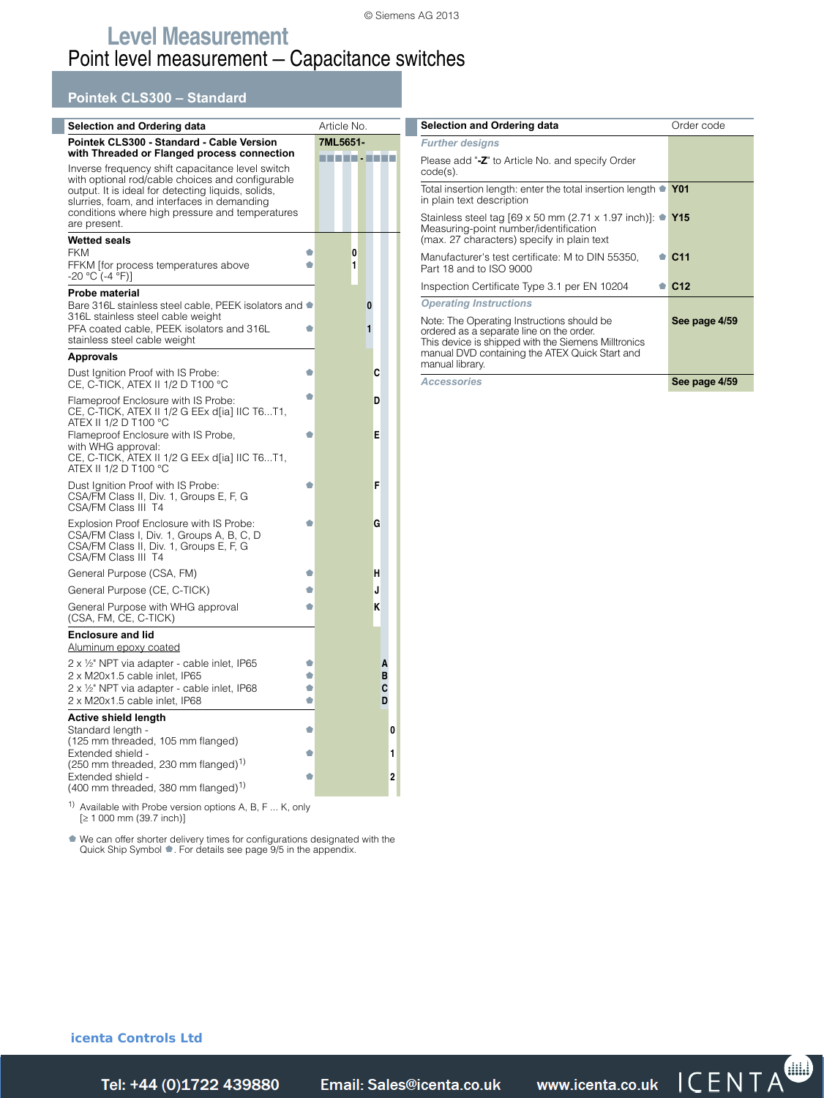### **Pointek CLS300 – Standard**

 $\mathbb{R}^2$ 

| Selection and Ordering data                                                                                                                                                                                                                                                                                                 |             | Article No. |        |        |             |                |
|-----------------------------------------------------------------------------------------------------------------------------------------------------------------------------------------------------------------------------------------------------------------------------------------------------------------------------|-------------|-------------|--------|--------|-------------|----------------|
| Pointek CLS300 - Standard - Cable Version                                                                                                                                                                                                                                                                                   |             | 7ML5651-    |        |        |             |                |
| with Threaded or Flanged process connection<br>Inverse frequency shift capacitance level switch<br>with optional rod/cable choices and configurable<br>output. It is ideal for detecting liquids, solids,<br>slurries, foam, and interfaces in demanding<br>conditions where high pressure and temperatures<br>are present. |             | man - La    |        |        |             |                |
| <b>Wetted seals</b>                                                                                                                                                                                                                                                                                                         |             |             |        |        |             |                |
| <b>FKM</b><br>FFKM [for process temperatures above<br>-20 °C (-4 °F)]                                                                                                                                                                                                                                                       | ۰<br>۰      |             | 0<br>1 |        |             |                |
| Probe material                                                                                                                                                                                                                                                                                                              |             |             |        |        |             |                |
| Bare 316L stainless steel cable, PEEK isolators and $\bullet$<br>316L stainless steel cable weight<br>PFA coated cable, PEEK isolators and 316L<br>stainless steel cable weight                                                                                                                                             | ۰           |             |        | 0<br>1 |             |                |
| <b>Approvals</b>                                                                                                                                                                                                                                                                                                            |             |             |        |        |             |                |
| Dust Ignition Proof with IS Probe:<br>CE, C-TICK, ATEX II 1/2 D T100 $^{\circ}$ C                                                                                                                                                                                                                                           | O           |             |        | c      |             |                |
| Flameproof Enclosure with IS Probe:<br>CE, C-TICK, ATEX II 1/2 G EEx d[ia] IIC T6T1,<br>ATEX II 1/2 D T100 °C                                                                                                                                                                                                               | ۰           |             |        | D      |             |                |
| Flameproof Enclosure with IS Probe,<br>with WHG approval:<br>CE, C-TICK, ATEX II 1/2 G EEx d[ia] IIC T6T1,<br>ATEX II 1/2 D T100 °C                                                                                                                                                                                         | O           |             |        | Е      |             |                |
| Dust Ignition Proof with IS Probe:<br>CSA/FM Class II, Div. 1, Groups E, F, G<br>CSA/FM Class III T4                                                                                                                                                                                                                        | ۰           |             |        | F      |             |                |
| Explosion Proof Enclosure with IS Probe:<br>CSA/FM Class I, Div. 1, Groups A, B, C, D<br>CSA/FM Class II, Div. 1, Groups E, F, G<br>CSA/FM Class III T4                                                                                                                                                                     | ۰           |             |        | G      |             |                |
| General Purpose (CSA, FM)                                                                                                                                                                                                                                                                                                   | ۰           |             |        | н      |             |                |
| General Purpose (CE, C-TICK)                                                                                                                                                                                                                                                                                                | ۰           |             |        | J      |             |                |
| General Purpose with WHG approval<br>(CSA, FM, CE, C-TICK)                                                                                                                                                                                                                                                                  | ۰           |             |        | K      |             |                |
| <b>Enclosure and lid</b>                                                                                                                                                                                                                                                                                                    |             |             |        |        |             |                |
| <u>Aluminum epoxy coated</u>                                                                                                                                                                                                                                                                                                |             |             |        |        |             |                |
| 2 x 1/2" NPT via adapter - cable inlet, IP65<br>2 x M20x1.5 cable inlet, IP65                                                                                                                                                                                                                                               | ۰<br>Ó<br>Ó |             |        |        | A<br>в<br>С |                |
| 2 x 1/2" NPT via adapter - cable inlet, IP68<br>2 x M20x1.5 cable inlet, IP68                                                                                                                                                                                                                                               | ۰           |             |        |        | D           |                |
| Active shield length                                                                                                                                                                                                                                                                                                        |             |             |        |        |             |                |
| Standard length -<br>(125 mm threaded, 105 mm flanged)                                                                                                                                                                                                                                                                      | ۰           |             |        |        |             | 0              |
| Extended shield -<br>$(250 \text{ mm}$ threaded, 230 mm flanged) <sup>1)</sup>                                                                                                                                                                                                                                              | ۰           |             |        |        |             | 1              |
| Extended shield -<br>$(400 \text{ mm}$ threaded, 380 mm flanged) <sup>1)</sup>                                                                                                                                                                                                                                              | ۰           |             |        |        |             | $\overline{2}$ |
| 1)<br>Available with Probe version options A, B, F K, only<br>[≥ 1 000 mm (39.7 inch)]                                                                                                                                                                                                                                      |             |             |        |        |             |                |

¢ We can offer shorter delivery times for configurations designated with the Quick Ship Symbol ¢. For details see page 9/5 in the appendix.

| Selection and Ordering data                                                                                                                                                                                        | Order code      |
|--------------------------------------------------------------------------------------------------------------------------------------------------------------------------------------------------------------------|-----------------|
| <b>Further designs</b>                                                                                                                                                                                             |                 |
| Please add "-Z" to Article No. and specify Order<br>code(s).                                                                                                                                                       |                 |
| Total insertion length: enter the total insertion length $\bullet$ Y01<br>in plain text description                                                                                                                |                 |
| Stainless steel tag [69 x 50 mm (2.71 x 1.97 inch)]: ● Y15<br>Measuring-point number/identification<br>(max. 27 characters) specify in plain text                                                                  |                 |
| Manufacturer's test certificate: M to DIN 55350,<br>Part 18 and to ISO 9000                                                                                                                                        | C <sub>11</sub> |
| Inspection Certificate Type 3.1 per EN 10204                                                                                                                                                                       | C <sub>12</sub> |
| <b>Operating Instructions</b>                                                                                                                                                                                      |                 |
| Note: The Operating Instructions should be<br>ordered as a separate line on the order.<br>This device is shipped with the Siemens Milltronics<br>manual DVD containing the ATEX Quick Start and<br>manual library. | See page 4/59   |
| <b>Accessories</b>                                                                                                                                                                                                 | See page 4/59   |

**icenta Controls Ltd** 

Tel: +44 (0)1722 439880 *Telail: Sales@icenta.co.uk* www.icenta.co.uk  $\mathsf{ICENTA}^{\bullet}$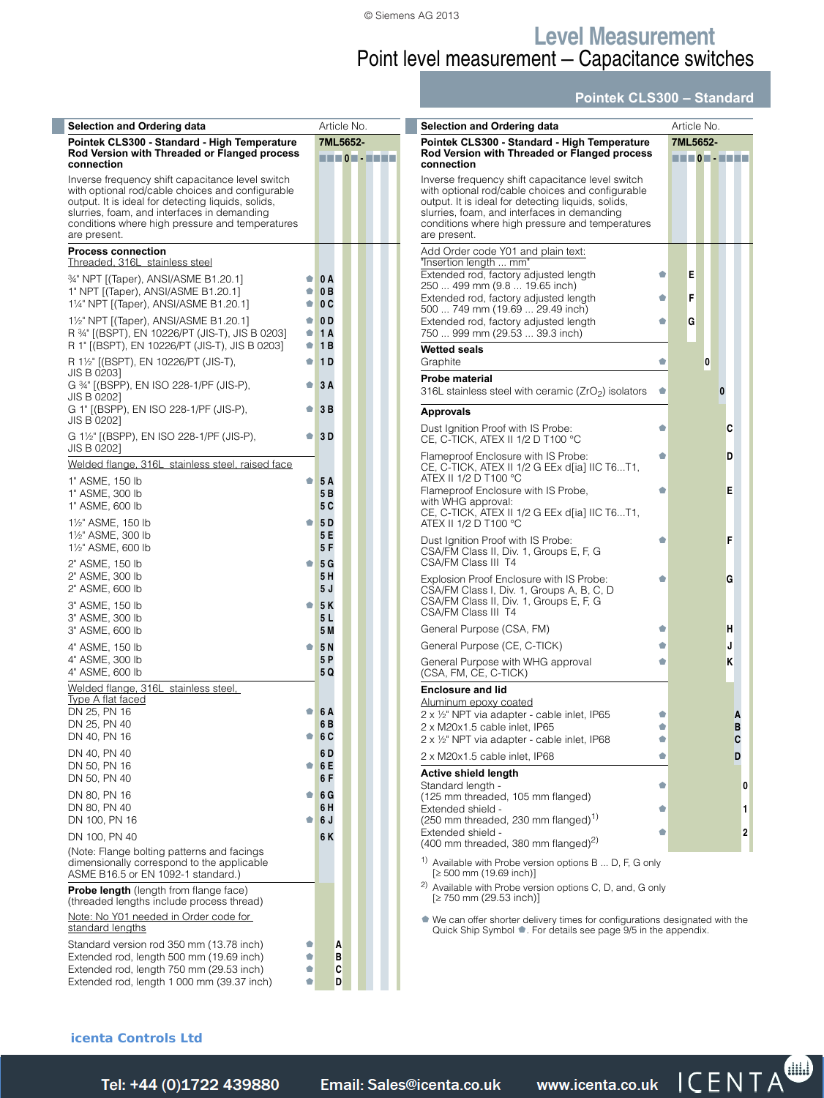### **Level Measurement** Point level measurement — Capacitance switches

### **Pointek CLS300 – Standard**

| <b>Selection and Ordering data</b>                                                                                                                                                                                                                                           |                         |                       | Article No.              | Selection and Ordering data                                                                                                                                                                                                                                                  |   | Article No.            |   |
|------------------------------------------------------------------------------------------------------------------------------------------------------------------------------------------------------------------------------------------------------------------------------|-------------------------|-----------------------|--------------------------|------------------------------------------------------------------------------------------------------------------------------------------------------------------------------------------------------------------------------------------------------------------------------|---|------------------------|---|
| Pointek CLS300 - Standard - High Temperature<br>Rod Version with Threaded or Flanged process<br>connection                                                                                                                                                                   |                         |                       | 7ML5652-<br>MATHEMATICS. | Pointek CLS300 - Standard - High Temperature<br>Rod Version with Threaded or Flanged process<br>connection                                                                                                                                                                   |   | 7ML5652-<br>HTTO THEFT |   |
| Inverse frequency shift capacitance level switch<br>with optional rod/cable choices and configurable<br>output. It is ideal for detecting liquids, solids,<br>slurries, foam, and interfaces in demanding<br>conditions where high pressure and temperatures<br>are present. |                         |                       |                          | Inverse frequency shift capacitance level switch<br>with optional rod/cable choices and configurable<br>output. It is ideal for detecting liquids, solids,<br>slurries, foam, and interfaces in demanding<br>conditions where high pressure and temperatures<br>are present. |   |                        |   |
| <b>Process connection</b><br>Threaded, 316L stainless steel                                                                                                                                                                                                                  |                         |                       |                          | Add Order code Y01 and plain text:<br>"Insertion length  mm"                                                                                                                                                                                                                 |   |                        |   |
| 34" NPT [(Taper), ANSI/ASME B1.20.1]                                                                                                                                                                                                                                         |                         | $\bullet$ 0 A         |                          | Extended rod, factory adjusted length<br>250  499 mm (9.8  19.65 inch)                                                                                                                                                                                                       | ۰ | Ε                      |   |
| 1" NPT [(Taper), ANSI/ASME B1.20.1]<br>11/4" NPT [(Taper), ANSI/ASME B1.20.1]                                                                                                                                                                                                | ۰<br>۰                  | 0B<br>0C              |                          | Extended rod, factory adjusted length<br>500  749 mm (19.69  29.49 inch)                                                                                                                                                                                                     | Ó | F                      |   |
| 1 <sup>1</sup> / <sub>2</sub> " NPT [(Taper), ANSI/ASME B1.20.1]<br>R 34" ((BSPT), EN 10226/PT (JIS-T), JIS B 0203]                                                                                                                                                          | $\bullet$ $\vdash$<br>۰ | 0 <sub>D</sub><br>1A  |                          | Extended rod, factory adjusted length<br>750  999 mm (29.53  39.3 inch)                                                                                                                                                                                                      | ۰ | G                      |   |
| R 1" [(BSPT), EN 10226/PT (JIS-T), JIS B 0203]                                                                                                                                                                                                                               |                         | $\bullet$ 1B          |                          | <b>Wetted seals</b>                                                                                                                                                                                                                                                          |   |                        |   |
| R 1½" [(BSPT), EN 10226/PT (JIS-T),<br>JIS B 0203]                                                                                                                                                                                                                           |                         | $\bullet$ 1D          |                          | Graphite                                                                                                                                                                                                                                                                     | ۰ | $\bf{0}$               |   |
| G 34" [(BSPP), EN ISO 228-1/PF (JIS-P),<br>JIS B 0202]                                                                                                                                                                                                                       | $\bullet$ .             | 3A                    |                          | Probe material<br>316L stainless steel with ceramic (ZrO <sub>2</sub> ) isolators                                                                                                                                                                                            | ۰ |                        | 0 |
| G 1" [(BSPP), EN ISO 228-1/PF (JIS-P),<br>JIS B 0202]                                                                                                                                                                                                                        |                         | $\bullet$ 3B          |                          | <b>Approvals</b>                                                                                                                                                                                                                                                             |   |                        |   |
| G 1½" [(BSPP), EN ISO 228-1/PF (JIS-P),<br>JIS B 0202]                                                                                                                                                                                                                       | $\bullet$ .             | 3D                    |                          | Dust Ignition Proof with IS Probe:<br>CE, C-TICK, ATEX II 1/2 D T100 °C                                                                                                                                                                                                      | Ó |                        | C |
| Welded flange, 316L stainless steel, raised face                                                                                                                                                                                                                             |                         |                       |                          | Flameproof Enclosure with IS Probe:<br>CE, C-TICK, ATEX II 1/2 G EEx d[ia] IIC T6T1,                                                                                                                                                                                         | ۰ |                        | D |
| 1" ASME, 150 lb                                                                                                                                                                                                                                                              | $\bullet$ .             | <b>5A</b><br>5 B      |                          | ATEX II 1/2 D T100 °C<br>Flameproof Enclosure with IS Probe,                                                                                                                                                                                                                 | ۰ |                        | E |
| 1" ASME, 300 lb<br>1" ASME, 600 lb                                                                                                                                                                                                                                           |                         | 5 C                   |                          | with WHG approval:<br>CE, C-TICK, ATEX II 1/2 G EEx d[ia] IIC T6T1,                                                                                                                                                                                                          |   |                        |   |
| 1½" ASME, 150 lb                                                                                                                                                                                                                                                             | ŵ                       | 5 D                   |                          | ATEX II 1/2 D T100 °C                                                                                                                                                                                                                                                        |   |                        |   |
| 11/2" ASME, 300 lb<br>11/2" ASME, 600 lb                                                                                                                                                                                                                                     |                         | 5 E<br>5 F            |                          | Dust Ignition Proof with IS Probe:<br>CSA/FM Class II, Div. 1, Groups E, F, G                                                                                                                                                                                                | Ó |                        |   |
| 2" ASME, 150 lb                                                                                                                                                                                                                                                              | ۰                       | 5G                    |                          | CSA/FM Class III T4                                                                                                                                                                                                                                                          |   |                        |   |
| 2" ASME, 300 lb<br>2" ASME, 600 lb                                                                                                                                                                                                                                           |                         | 5H<br>5J              |                          | Explosion Proof Enclosure with IS Probe:<br>CSA/FM Class I, Div. 1, Groups A, B, C, D                                                                                                                                                                                        | ۰ |                        | G |
| 3" ASME, 150 lb                                                                                                                                                                                                                                                              | ۰                       | 5K                    |                          | CSA/FM Class II, Div. 1, Groups E, F, G<br>CSA/FM Class III T4                                                                                                                                                                                                               |   |                        |   |
| 3" ASME, 300 lb<br>3" ASME, 600 lb                                                                                                                                                                                                                                           |                         | 5 L<br>5 M            |                          | General Purpose (CSA, FM)                                                                                                                                                                                                                                                    | ۰ |                        | н |
| 4" ASME, 150 lb                                                                                                                                                                                                                                                              | ۰                       | <b>5N</b>             |                          | General Purpose (CE, C-TICK)                                                                                                                                                                                                                                                 | ۰ |                        |   |
| 4" ASME, 300 lb<br>4" ASME, 600 lb                                                                                                                                                                                                                                           |                         | 5 P<br>5 Q            |                          | General Purpose with WHG approval<br>(CSA, FM, CE, C-TICK)                                                                                                                                                                                                                   | ۰ |                        | Κ |
| Welded flange, 316L stainless steel,                                                                                                                                                                                                                                         |                         |                       |                          | <b>Enclosure and lid</b>                                                                                                                                                                                                                                                     |   |                        |   |
| <u>Type A flat faced</u><br>DN 25, PN 16                                                                                                                                                                                                                                     | ŵ                       | 6 A                   |                          | <u>Aluminum epoxy coated</u><br>2 x 1/2" NPT via adapter - cable inlet, IP65                                                                                                                                                                                                 | Ó |                        |   |
| DN 25, PN 40                                                                                                                                                                                                                                                                 |                         | 6 B                   |                          | 2 x M20x1.5 cable inlet, IP65                                                                                                                                                                                                                                                |   |                        |   |
| DN 40, PN 16                                                                                                                                                                                                                                                                 | ¢                       | 6 <sub>C</sub><br>6 D |                          | 2 x 1/2" NPT via adapter - cable inlet, IP68                                                                                                                                                                                                                                 | Ó |                        |   |
| DN 40, PN 40<br>DN 50, PN 16                                                                                                                                                                                                                                                 |                         | 6E                    |                          | 2 x M20x1.5 cable inlet, IP68                                                                                                                                                                                                                                                | Ó |                        |   |
| DN 50, PN 40                                                                                                                                                                                                                                                                 |                         | 6 F                   |                          | Active shield length<br>Standard length -                                                                                                                                                                                                                                    | Ó |                        |   |
| DN 80, PN 16                                                                                                                                                                                                                                                                 | O.                      | 6 G                   |                          | (125 mm threaded, 105 mm flanged)                                                                                                                                                                                                                                            |   |                        |   |
| DN 80, PN 40<br>DN 100, PN 16                                                                                                                                                                                                                                                | ŵ                       | 6 H<br>6J             |                          | Extended shield -<br>$(250 \text{ mm}$ threaded, 230 mm flanged) <sup>1)</sup>                                                                                                                                                                                               | ۰ |                        |   |
| DN 100, PN 40                                                                                                                                                                                                                                                                |                         | 6 K                   |                          | Extended shield -                                                                                                                                                                                                                                                            | ۰ |                        |   |
| (Note: Flange bolting patterns and facings                                                                                                                                                                                                                                   |                         |                       |                          | (400 mm threaded, 380 mm flanged) <sup>2)</sup>                                                                                                                                                                                                                              |   |                        |   |
| dimensionally correspond to the applicable<br>ASME B16.5 or EN 1092-1 standard.)                                                                                                                                                                                             |                         |                       |                          | <sup>1)</sup> Available with Probe version options B  D, F, G only<br>$[2 500$ mm (19.69 inch)]                                                                                                                                                                              |   |                        |   |
| <b>Probe length</b> (length from flange face)<br>(threaded lengths include process thread)                                                                                                                                                                                   |                         |                       |                          | <sup>2)</sup> Available with Probe version options C, D, and, G only<br>$[2 750$ mm (29.53 inch)]                                                                                                                                                                            |   |                        |   |
| Note: No Y01 needed in Order code for<br>standard lengths                                                                                                                                                                                                                    |                         |                       |                          | • We can offer shorter delivery times for configurations designated with the<br>Quick Ship Symbol •. For details see page 9/5 in the appendix.                                                                                                                               |   |                        |   |
| Standard version rod 350 mm (13.78 inch)<br>Extended rod, length 500 mm (19.69 inch)                                                                                                                                                                                         | ۰                       |                       | A<br>В                   |                                                                                                                                                                                                                                                                              |   |                        |   |

Extended rod, length 750 mm (29.53 inch) ¢ **C Extended rod, length 1 000 mm (39.37 inch)** ● **D** 

### **icenta Controls Ltd**

Siemens FI 01 · 2014 **4/51** *Tel: +44 (0)1722 41 Fax: +44 (0)1722 e: sales@icenta.co.uk www.icenta.co.uk*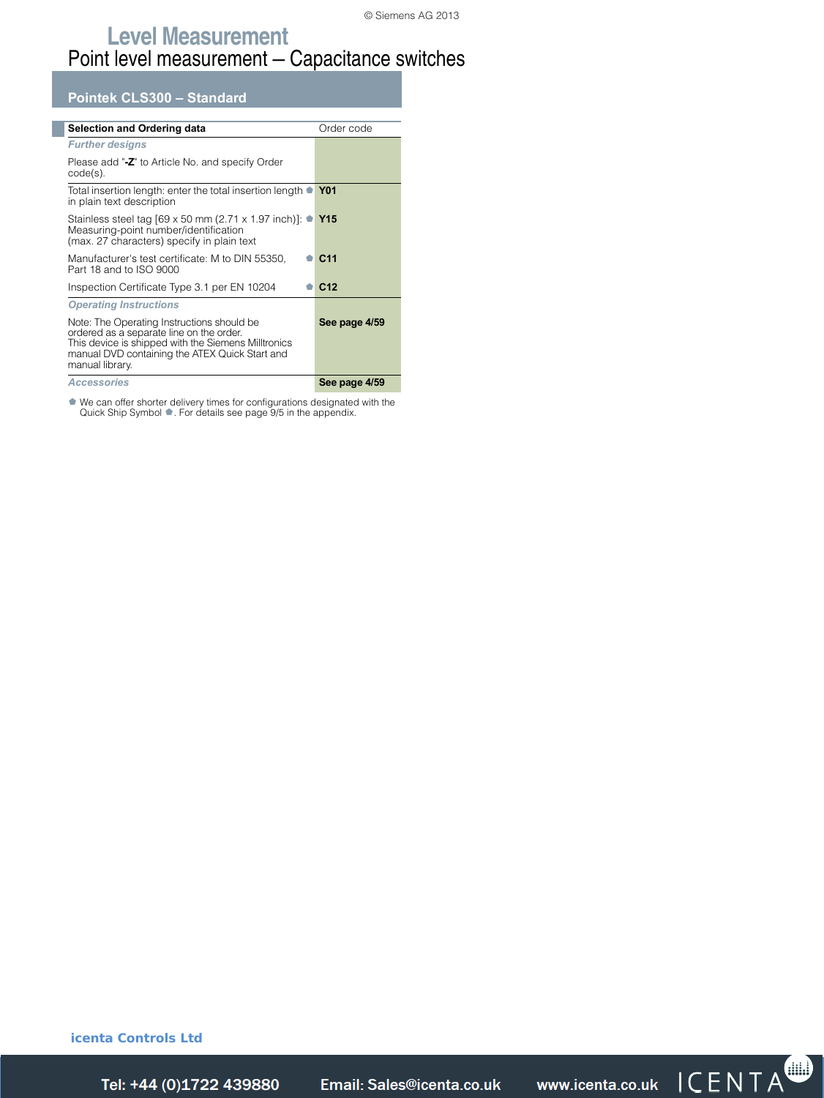**Pointek CLS300 – Standard**

| <b>Selection and Ordering data</b>                                                                                                                                                                                 | Order code      |
|--------------------------------------------------------------------------------------------------------------------------------------------------------------------------------------------------------------------|-----------------|
| <b>Further designs</b>                                                                                                                                                                                             |                 |
| Please add "-Z" to Article No. and specify Order<br>$code(s)$ .                                                                                                                                                    |                 |
| Total insertion length: enter the total insertion length •<br>in plain text description                                                                                                                            | <b>Y01</b>      |
| Stainless steel tag [69 x 50 mm (2.71 x 1.97 inch)]: $\bullet$ Y15<br>Measuring-point number/identification<br>(max. 27 characters) specify in plain text                                                          |                 |
| Manufacturer's test certificate: M to DIN 55350,<br>Part 18 and to ISO 9000                                                                                                                                        | C <sub>11</sub> |
| Inspection Certificate Type 3.1 per EN 10204                                                                                                                                                                       | C <sub>12</sub> |
| <b>Operating Instructions</b>                                                                                                                                                                                      |                 |
| Note: The Operating Instructions should be<br>ordered as a separate line on the order.<br>This device is shipped with the Siemens Milltronics<br>manual DVD containing the ATEX Quick Start and<br>manual library. | See page 4/59   |
| <b>Accessories</b>                                                                                                                                                                                                 | See page 4/59   |

¢ We can offer shorter delivery times for configurations designated with the Quick Ship Symbol ¢. For details see page 9/5 in the appendix.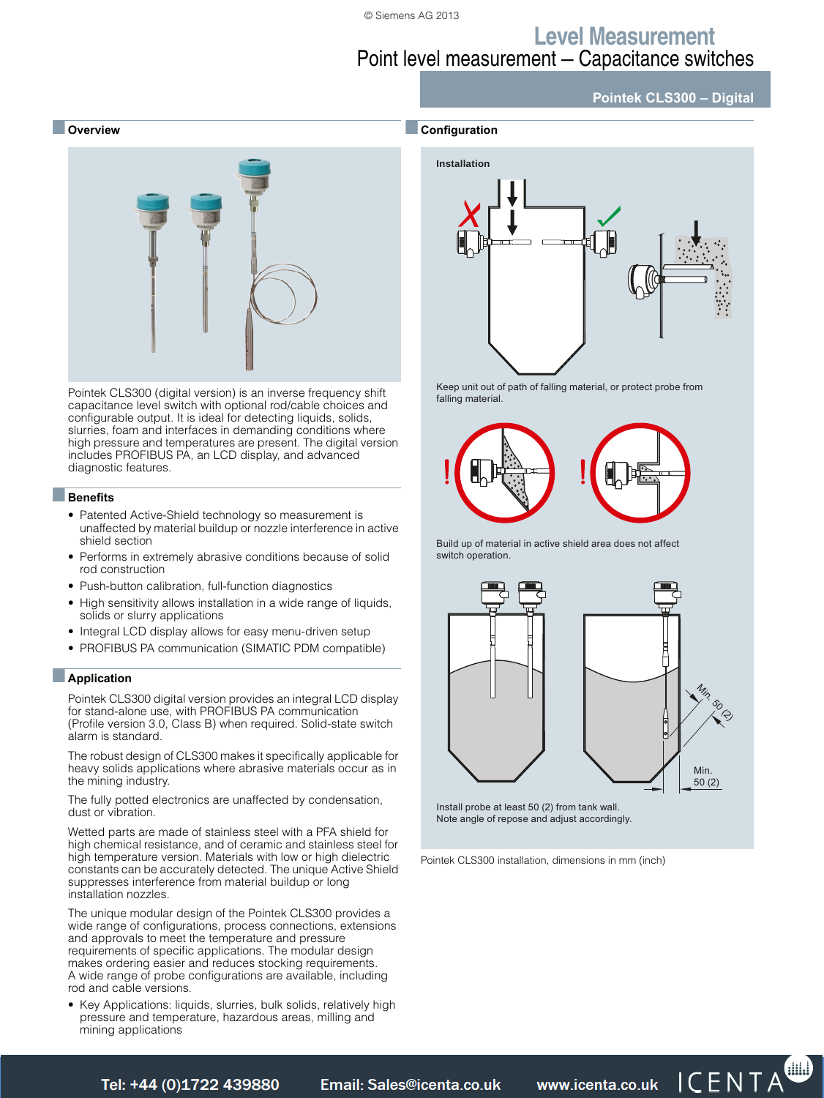■**Configuration**

### **Level Measurement** Point level measurement — Capacitance switches

#### **Pointek CLS300 – Digital**

#### ■ **Overview**



Pointek CLS300 (digital version) is an inverse frequency shift capacitance level switch with optional rod/cable choices and configurable output. It is ideal for detecting liquids, solids, slurries, foam and interfaces in demanding conditions where high pressure and temperatures are present. The digital version includes PROFIBUS PA, an LCD display, and advanced diagnostic features.

### ■**Benefits**

- Patented Active-Shield technology so measurement is unaffected by material buildup or nozzle interference in active shield section
- Performs in extremely abrasive conditions because of solid rod construction
- Push-button calibration, full-function diagnostics
- High sensitivity allows installation in a wide range of liquids, solids or slurry applications
- Integral LCD display allows for easy menu-driven setup
- PROFIBUS PA communication (SIMATIC PDM compatible)

#### ■**Application**

Pointek CLS300 digital version provides an integral LCD display for stand-alone use, with PROFIBUS PA communication (Profile version 3.0, Class B) when required. Solid-state switch alarm is standard.

The robust design of CLS300 makes it specifically applicable for heavy solids applications where abrasive materials occur as in the mining industry.

The fully potted electronics are unaffected by condensation, dust or vibration.

Wetted parts are made of stainless steel with a PFA shield for high chemical resistance, and of ceramic and stainless steel for high temperature version. Materials with low or high dielectric constants can be accurately detected. The unique Active Shield suppresses interference from material buildup or long installation nozzles.

The unique modular design of the Pointek CLS300 provides a wide range of configurations, process connections, extensions and approvals to meet the temperature and pressure requirements of specific applications. The modular design makes ordering easier and reduces stocking requirements. A wide range of probe configurations are available, including rod and cable versions.

• Key Applications: liquids, slurries, bulk solids, relatively high pressure and temperature, hazardous areas, milling and mining applications



Keep unit out of path of falling material, or protect probe from falling material.



Build up of material in active shield area does not affect switch operation.



Note angle of repose and adjust accordingly.

Pointek CLS300 installation, dimensions in mm (inch)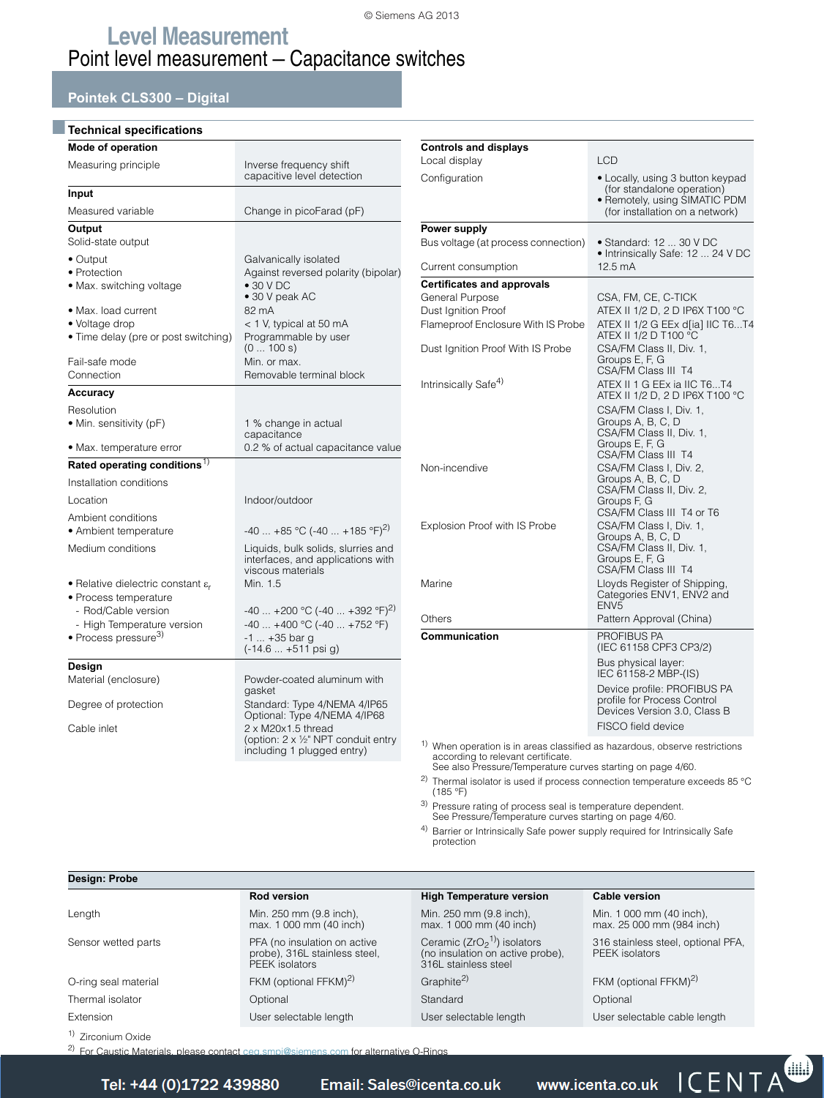### **Pointek CLS300 – Digital**

### ■**Technical specifications**

| Mode of operation                                                                     |                                                                                                                      |
|---------------------------------------------------------------------------------------|----------------------------------------------------------------------------------------------------------------------|
| Measuring principle                                                                   | Inverse frequency shift<br>capacitive level detection                                                                |
| Input                                                                                 |                                                                                                                      |
| Measured variable                                                                     | Change in picoFarad (pF)                                                                                             |
| Output<br>Solid-state output                                                          |                                                                                                                      |
| $\bullet$ Output<br>• Protection<br>• Max. switching voltage                          | Galvanically isolated<br>Against reversed polarity (bipolar)<br>$\bullet$ 30 V DC<br>• 30 V peak AC                  |
| • Max. load current<br>• Voltage drop<br>• Time delay (pre or post switching)         | 82 mA<br>< 1 V, typical at 50 mA<br>Programmable by user<br>(0100 s)                                                 |
| Fail-safe mode<br>Connection                                                          | Min. or max.<br>Removable terminal block                                                                             |
| Accuracy                                                                              |                                                                                                                      |
| Resolution                                                                            |                                                                                                                      |
| • Min. sensitivity (pF)                                                               | 1 % change in actual                                                                                                 |
| • Max. temperature error                                                              | capacitance<br>0.2 % of actual capacitance value                                                                     |
| Rated operating conditions <sup>1)</sup>                                              |                                                                                                                      |
| Installation conditions                                                               |                                                                                                                      |
| Location                                                                              | Indoor/outdoor                                                                                                       |
| Ambient conditions<br>• Ambient temperature                                           | $-40$ $+85$ °C (-40 $+185$ °F) <sup>2)</sup>                                                                         |
| Medium conditions                                                                     | Liquids, bulk solids, slurries and<br>interfaces, and applications with<br>viscous materials                         |
| • Relative dielectric constant $\varepsilon_r$<br>• Process temperature               | Min. 1.5                                                                                                             |
| - Rod/Cable version<br>- High Temperature version<br>· Process pressure <sup>3)</sup> | $-40$ $+200$ °C (-40 $+392$ °F) <sup>2)</sup><br>$-40+400 °C (-40+752 °F)$<br>-1  +35 bar q<br>$(-14.6  +511$ psi g) |
| Design                                                                                |                                                                                                                      |
| Material (enclosure)                                                                  | Powder-coated aluminum with                                                                                          |
| Degree of protection                                                                  | gasket<br>Standard: Type 4/NEMA 4/IP65<br>Optional: Type 4/NEMA 4/IP68                                               |
| Cable inlet                                                                           | 2 x M20x1.5 thread<br>(option: 2 x 1/2" NPT conduit entry<br>including 1 plugged entry)                              |
|                                                                                       |                                                                                                                      |

| <b>Controls and displays</b><br>Local display                                                                               | <b>LCD</b>                                                                                                                         |
|-----------------------------------------------------------------------------------------------------------------------------|------------------------------------------------------------------------------------------------------------------------------------|
|                                                                                                                             |                                                                                                                                    |
| Configuration                                                                                                               | • Locally, using 3 button keypad<br>(for standalone operation)<br>• Remotely, using SIMATIC PDM<br>(for installation on a network) |
| Power supply                                                                                                                |                                                                                                                                    |
| Bus voltage (at process connection)                                                                                         | $\bullet$ Standard: 12  30 V DC<br>· Intrinsically Safe: 12  24 V DC                                                               |
| Current consumption                                                                                                         | $12.5 \text{ mA}$                                                                                                                  |
| <b>Certificates and approvals</b>                                                                                           |                                                                                                                                    |
| General Purpose                                                                                                             | CSA, FM, CE, C-TICK                                                                                                                |
| Dust Ignition Proof                                                                                                         | ATEX II 1/2 D, 2 D IP6X T100 °C                                                                                                    |
| Flameproof Enclosure With IS Probe                                                                                          | ATEX II 1/2 G EEx d[ia] IIC T6T4<br>ATEX II 1/2 D T100 °C                                                                          |
| Dust Ignition Proof With IS Probe                                                                                           | CSA/FM Class II, Div. 1,<br>Groups E, F, G<br>CSA/FM Class III T4                                                                  |
| Intrinsically Safe <sup>4)</sup>                                                                                            | ATEX II 1 G EEx ia IIC T6T4<br>ATEX II 1/2 D, 2 D IP6X T100 °C                                                                     |
|                                                                                                                             | CSA/FM Class I, Div. 1,<br>Groups A, B, C, D<br>CSA/FM Class II, Div. 1,<br>Groups E, F, G<br>CSA/FM Class III T4                  |
| Non-incendive                                                                                                               | CSA/FM Class I, Div. 2,<br>Groups A, B, C, D<br>CSA/FM Class II, Div. 2,<br>Groups F, G<br>CSA/FM Class III T4 or T6               |
| Explosion Proof with IS Probe                                                                                               | CSA/FM Class I, Div. 1,<br>Groups A, B, C, D<br>CSA/FM Class II, Div. 1,<br>Groups E, F, G<br><b>CSA/FM Class III T4</b>           |
| Marine                                                                                                                      | Lloyds Register of Shipping,<br>Categories ENV1, ENV2 and<br>ENV <sub>5</sub>                                                      |
| Others                                                                                                                      | Pattern Approval (China)                                                                                                           |
| Communication                                                                                                               | PROFIBUS PA<br>(IEC 61158 CPF3 CP3/2)                                                                                              |
|                                                                                                                             | Bus physical layer:<br>IEC 61158-2 MBP-(IS)                                                                                        |
|                                                                                                                             | Device profile: PROFIBUS PA<br>profile for Process Control<br>Devices Version 3.0, Class B<br>FISCO field device                   |
|                                                                                                                             |                                                                                                                                    |
| <sup>1)</sup> When operation is in areas classified as hazardous, observe restrictions<br>according to relevant certificate |                                                                                                                                    |

according to relevant certificate. See also Pressure/Temperature curves starting on page 4/60. <sup>2)</sup> Thermal isolator is used if process connection temperature exceeds 85 °C (185 °F)

3) Pressure rating of process seal is temperature dependent. See Pressure/Temperature curves starting on page 4/60.

4) Barrier or Intrinsically Safe power supply required for Intrinsically Safe protection

| Design: Probe                 |                                                                                                  |                                                                                           |                                                       |
|-------------------------------|--------------------------------------------------------------------------------------------------|-------------------------------------------------------------------------------------------|-------------------------------------------------------|
|                               | <b>Rod version</b>                                                                               | <b>High Temperature version</b>                                                           | Cable version                                         |
| Length                        | Min. 250 mm (9.8 inch).<br>max. 1 000 mm (40 inch)                                               | Min. 250 mm (9.8 inch).<br>max. 1 000 mm (40 inch)                                        | Min. 1 000 mm (40 inch),<br>max. 25 000 mm (984 inch) |
| Sensor wetted parts           | PFA (no insulation on active<br>probe), 316L stainless steel,<br>PEEK isolators                  | Ceramic ( $ZrO21$ ) isolators<br>(no insulation on active probe),<br>316L stainless steel | 316 stainless steel, optional PFA,<br>PEEK isolators  |
| O-ring seal material          | FKM (optional FFKM) <sup>2)</sup>                                                                | Graphite <sup>2)</sup>                                                                    | FKM (optional FFKM) <sup>2)</sup>                     |
| Thermal isolator              | Optional                                                                                         | Standard                                                                                  | Optional                                              |
| Extension                     | User selectable length                                                                           | User selectable length                                                                    | User selectable cable length                          |
| <sup>1)</sup> Zirconium Oxide |                                                                                                  |                                                                                           |                                                       |
|                               | <sup>2)</sup> For Caustic Materials, please contact ceg.smpi@siemens.com for alternative O-Rings |                                                                                           |                                                       |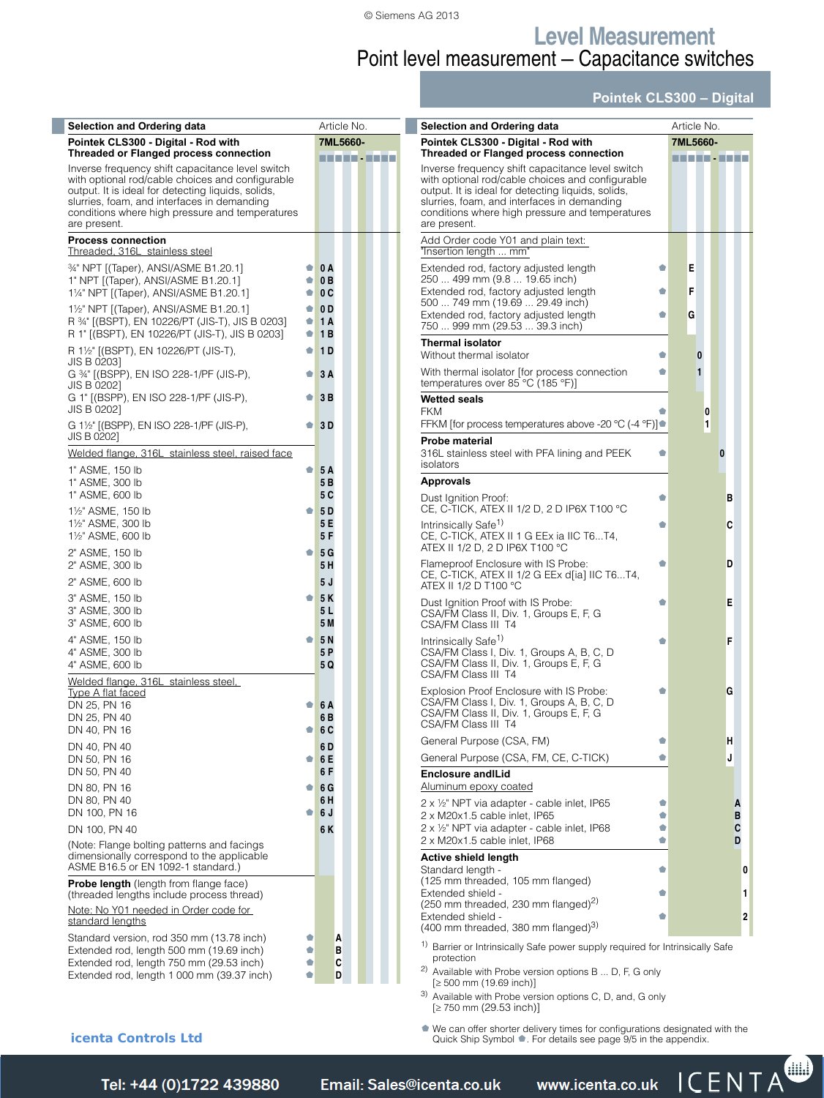### **Level Measurement** Point level measurement — Capacitance switches

#### **Pointek CLS300 – Digital**

| <b>Selection and Ordering data</b>                                                                                                                                                                                                                                                                                            |                         | Article No.                 | Selection and Ordering data                                                                                                                                                                                                                                                                                                   | Article No. |                |          |  |  |
|-------------------------------------------------------------------------------------------------------------------------------------------------------------------------------------------------------------------------------------------------------------------------------------------------------------------------------|-------------------------|-----------------------------|-------------------------------------------------------------------------------------------------------------------------------------------------------------------------------------------------------------------------------------------------------------------------------------------------------------------------------|-------------|----------------|----------|--|--|
| Pointek CLS300 - Digital - Rod with                                                                                                                                                                                                                                                                                           | 7ML5660-                |                             | Pointek CLS300 - Digital - Rod with                                                                                                                                                                                                                                                                                           | 7ML5660-    |                |          |  |  |
| <b>Threaded or Flanged process connection</b><br>Inverse frequency shift capacitance level switch<br>with optional rod/cable choices and configurable<br>output. It is ideal for detecting liquids, solids,<br>slurries, foam, and interfaces in demanding<br>conditions where high pressure and temperatures<br>are present. |                         | .                           | <b>Threaded or Flanged process connection</b><br>Inverse frequency shift capacitance level switch<br>with optional rod/cable choices and configurable<br>output. It is ideal for detecting liquids, solids,<br>slurries, foam, and interfaces in demanding<br>conditions where high pressure and temperatures<br>are present. |             | n na Taisin    |          |  |  |
| <b>Process connection</b><br>Threaded, 316L stainless steel                                                                                                                                                                                                                                                                   |                         |                             | Add Order code Y01 and plain text:<br>"Insertion length  mm"                                                                                                                                                                                                                                                                  |             |                |          |  |  |
| 34" NPT [(Taper), ANSI/ASME B1.20.1]<br>1" NPT [(Taper), ANSI/ASME B1.20.1]<br>11/4" NPT [(Taper), ANSI/ASME B1.20.1]                                                                                                                                                                                                         | $\bullet$ 0 A<br>۰<br>۰ | 0B<br>0C                    | Extended rod, factory adjusted length<br>۰<br>250  499 mm (9.8  19.65 inch)<br>Extended rod, factory adjusted length<br>Ó<br>500  749 mm (19.69  29.49 inch)                                                                                                                                                                  | Е<br>F      |                |          |  |  |
| 1 <sup>1</sup> / <sub>2</sub> " NPT [(Taper), ANSI/ASME B1.20.1]<br>R 34" ((BSPT), EN 10226/PT (JIS-T), JIS B 0203]<br>R 1" [(BSPT), EN 10226/PT (JIS-T), JIS B 0203]                                                                                                                                                         | $\bullet$<br>۰<br>۰     | 0 <sub>D</sub><br>1 A<br>1B | Extended rod, factory adjusted length<br>۰<br>750  999 mm (29.53  39.3 inch)<br><b>Thermal isolator</b>                                                                                                                                                                                                                       | G           |                |          |  |  |
| R 1½" [(BSPT), EN 10226/PT (JIS-T),<br>JIS B 0203]                                                                                                                                                                                                                                                                            | ۰                       | 1 <sub>D</sub>              | Without thermal isolator<br>Ó                                                                                                                                                                                                                                                                                                 |             | $\bf{0}$       |          |  |  |
| G 34" [(BSPP), EN ISO 228-1/PF (JIS-P),<br>JIS B 0202]                                                                                                                                                                                                                                                                        | $\bullet$ .             | 3A                          | With thermal isolator [for process connection<br>۰<br>temperatures over 85 °C (185 °F)]                                                                                                                                                                                                                                       |             | $\mathbf{1}$   |          |  |  |
| G 1" [(BSPP), EN ISO 228-1/PF (JIS-P),<br>JIS B 0202]                                                                                                                                                                                                                                                                         | $\bullet$ .             | 3B                          | <b>Wetted seals</b><br><b>FKM</b>                                                                                                                                                                                                                                                                                             |             | 0              |          |  |  |
| G 11/2" [(BSPP), EN ISO 228-1/PF (JIS-P),<br>JIS B 0202]                                                                                                                                                                                                                                                                      | $\bullet$               | 3D                          | FFKM [for process temperatures above -20 °C (-4 °F)]●<br>Probe material                                                                                                                                                                                                                                                       |             | $\blacksquare$ |          |  |  |
| Welded flange, 316L stainless steel, raised face<br>1" ASME, 150 lb                                                                                                                                                                                                                                                           | ۰                       | <b>5A</b>                   | 316L stainless steel with PFA lining and PEEK<br>۰<br>isolators                                                                                                                                                                                                                                                               |             |                | $\bf{0}$ |  |  |
| 1" ASME, 300 lb<br>1" ASME, 600 lb                                                                                                                                                                                                                                                                                            |                         | 5B<br>5 C                   | <b>Approvals</b><br>Dust Ignition Proof:<br>۰                                                                                                                                                                                                                                                                                 |             |                | в        |  |  |
| 11/2" ASME, 150 lb<br>11/2" ASME, 300 lb<br>11/2" ASME, 600 lb                                                                                                                                                                                                                                                                | ۰                       | 5 D<br>5 E<br>5F            | CE, C-TICK, ATEX II 1/2 D, 2 D IP6X T100 °C<br>Intrinsically Safe <sup>1)</sup><br>۰<br>CE, C-TICK, ATEX II 1 G EEx ia IIC T6T4,                                                                                                                                                                                              |             |                | C        |  |  |
| 2" ASME, 150 lb<br>2" ASME, 300 lb<br>2" ASME, 600 lb                                                                                                                                                                                                                                                                         | ۰                       | 5G<br>5H<br>5J              | ATEX II 1/2 D, 2 D IP6X T100 °C<br>Flameproof Enclosure with IS Probe:<br>Ó<br>CE, C-TICK, ATEX II 1/2 G EEx d[ia] IIC T6T4,                                                                                                                                                                                                  |             |                | D        |  |  |
| 3" ASME, 150 lb<br>3" ASME, 300 lb<br>3" ASME, 600 lb                                                                                                                                                                                                                                                                         | ۰                       | 5K<br>5 L<br>5 M            | ATEX II 1/2 D T100 °C<br>Dust Ignition Proof with IS Probe:<br>۰<br>CSA/FM Class II, Div. 1, Groups E, F, G<br>CSA/FM Class III T4                                                                                                                                                                                            |             |                | E        |  |  |
| 4" ASME, 150 lb<br>4" ASME, 300 lb<br>4" ASME, 600 lb                                                                                                                                                                                                                                                                         | ۰                       | <b>5N</b><br>5 P<br>5 Q     | Intrinsically Safe <sup>1)</sup><br>۰<br>CSA/FM Class I, Div. 1, Groups A, B, C, D<br>CSA/FM Class II, Div. 1, Groups E, F, G<br>CSA/FM Class III T4                                                                                                                                                                          |             |                | F        |  |  |
| Welded flange, 316L stainless steel,<br><b>Type A flat faced</b><br>DN 25, PN 16<br>DN 25, PN 40                                                                                                                                                                                                                              | ۰                       | 6 A<br>6 B                  | Explosion Proof Enclosure with IS Probe:<br>Ó<br>CSA/FM Class I, Div. 1, Groups A, B, C, D<br>CSA/FM Class II, Div. 1, Groups E, F, G<br>CSA/FM Class III 14                                                                                                                                                                  |             |                | G        |  |  |
| DN 40, PN 16<br>DN 40, PN 40                                                                                                                                                                                                                                                                                                  | $\bullet$ .             | 6 C<br>6 D                  | General Purpose (CSA, FM)<br>۰                                                                                                                                                                                                                                                                                                |             |                | н        |  |  |
| DN 50, PN 16<br>DN 50, PN 40                                                                                                                                                                                                                                                                                                  | ۰                       | 6 E<br>6 F                  | General Purpose (CSA, FM, CE, C-TICK)<br>۰<br><b>Enclosure and Lid</b>                                                                                                                                                                                                                                                        |             |                |          |  |  |
| DN 80, PN 16<br>DN 80, PN 40                                                                                                                                                                                                                                                                                                  | $\bullet$ .             | 6 <sub>G</sub><br>6 H       | Aluminum epoxy coated                                                                                                                                                                                                                                                                                                         |             |                |          |  |  |
| DN 100, PN 16<br>DN 100, PN 40                                                                                                                                                                                                                                                                                                | $\bullet$ .             | 6 J<br>6 K                  | 2 x 1/2" NPT via adapter - cable inlet, IP65<br>Ó<br>2 x M20x1.5 cable inlet, IP65<br>۰<br>2 x 1/2" NPT via adapter - cable inlet, IP68<br>Ó                                                                                                                                                                                  |             |                |          |  |  |
| (Note: Flange bolting patterns and facings<br>dimensionally correspond to the applicable<br>ASME B16.5 or EN 1092-1 standard.)                                                                                                                                                                                                |                         |                             | 2 x M20x1.5 cable inlet, IP68<br>Ó<br>Active shield length<br>Standard length -<br>Ó                                                                                                                                                                                                                                          |             |                |          |  |  |
| <b>Probe length</b> (length from flange face)<br>(threaded lengths include process thread)<br>Note: No Y01 needed in Order code for<br>standard lengths                                                                                                                                                                       |                         |                             | (125 mm threaded, 105 mm flanged)<br>Extended shield -<br>۰<br>(250 mm threaded, 230 mm flanged) <sup>2)</sup><br>Extended shield -<br>۰<br>(400 mm threaded, 380 mm flanged) <sup>3)</sup>                                                                                                                                   |             |                |          |  |  |
| Standard version, rod 350 mm (13.78 inch)<br>Extended rod, length 500 mm (19.69 inch)<br>Extended rod, length 750 mm (29.53 inch)                                                                                                                                                                                             | Ó<br>۰                  | А<br>в<br>C                 | <sup>1)</sup> Barrier or Intrinsically Safe power supply required for Intrinsically Safe<br>protection                                                                                                                                                                                                                        |             |                |          |  |  |
| Extended rod, length 1 000 mm (39.37 inch)                                                                                                                                                                                                                                                                                    | ė                       | D                           | <sup>2)</sup> Available with Probe version options $B \dots D$ , F, G only<br>$[> 500$ mm $(1969$ inch)]                                                                                                                                                                                                                      |             |                |          |  |  |

options B ... D, F, G only  $[2, 500 \text{ mm} (19.69 \text{ inch})]$ 

<sup>3)</sup> [Available with Probe version optio](mailto:sales@icenta.co.uk)[ns C, D, and, G only](http://www.icenta.co.uk)  $[≥ 750$  mm  $(29.53$  inch)]

¢ We can offer shorter delivery times for configurations designated with the Quick Ship Symbol ¢. For details see page 9/5 in the appendix.

#### **icenta Controls Ltd**

Siemens FI 01 · 2014 **4/55** *Tel: +44 (0)1722 41 Fax: +44 (0)1722 e: sales@icenta.co.uk www.icenta.co.uk* 

œ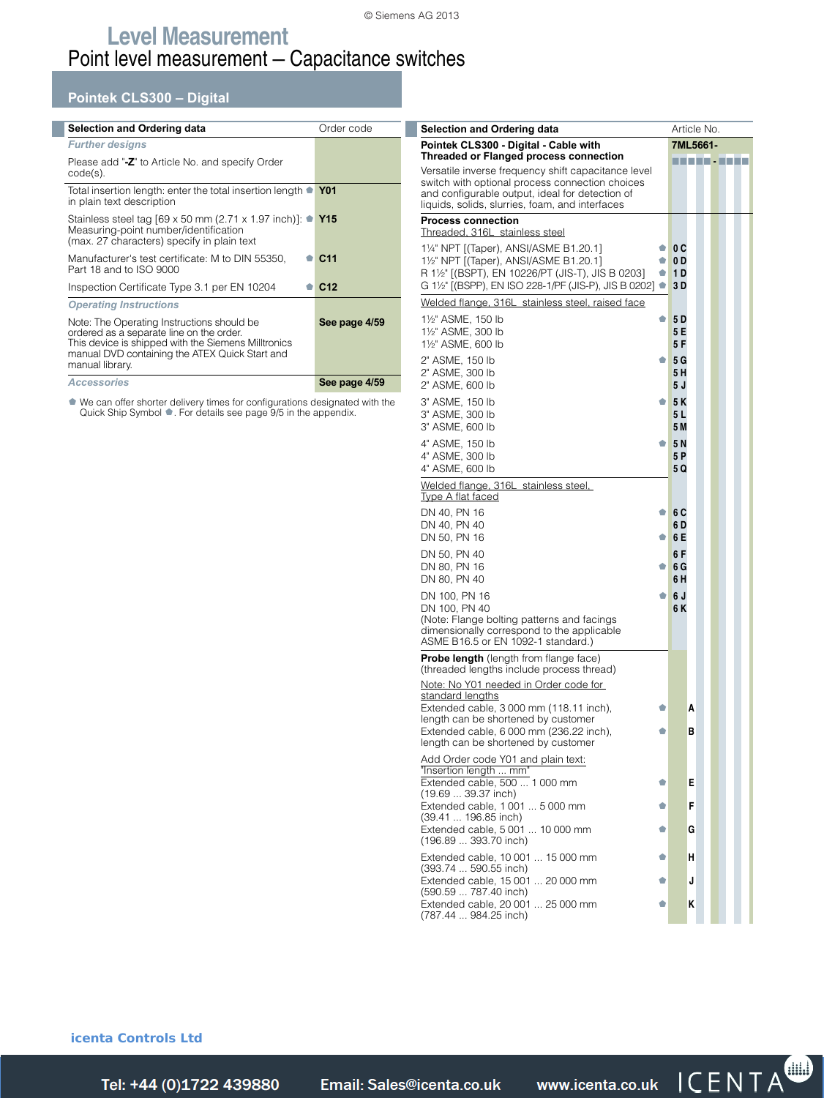#### **Pointek CLS300 – Digital**

| <b>Selection and Ordering data</b>                                                                                                                                                                                 | Order code      |
|--------------------------------------------------------------------------------------------------------------------------------------------------------------------------------------------------------------------|-----------------|
| <b>Further designs</b>                                                                                                                                                                                             |                 |
| Please add "-Z" to Article No. and specify Order<br>$code(s)$ .                                                                                                                                                    |                 |
| Total insertion length: enter the total insertion length • Y01<br>in plain text description                                                                                                                        |                 |
| Stainless steel tag [69 x 50 mm (2.71 x 1.97 inch)]: $\bullet$ Y15<br>Measuring-point number/identification<br>(max. 27 characters) specify in plain text                                                          |                 |
| Manufacturer's test certificate: M to DIN 55350,<br>Part 18 and to ISO 9000                                                                                                                                        | C <sub>11</sub> |
| Inspection Certificate Type 3.1 per EN 10204                                                                                                                                                                       | C <sub>12</sub> |
| <b>Operating Instructions</b>                                                                                                                                                                                      |                 |
| Note: The Operating Instructions should be<br>ordered as a separate line on the order.<br>This device is shipped with the Siemens Milltronics<br>manual DVD containing the ATEX Quick Start and<br>manual library. | See page 4/59   |
| <b>Accessories</b>                                                                                                                                                                                                 | See page 4/59   |

¢ We can offer shorter delivery times for configurations designated with the Quick Ship Symbol ¢. For details see page 9/5 in the appendix.

| <b>Selection and Ordering data</b>                                                                     |        | Article No. |            |  |  |
|--------------------------------------------------------------------------------------------------------|--------|-------------|------------|--|--|
| Pointek CLS300 - Digital - Cable with                                                                  |        |             | 7ML5661-   |  |  |
| <b>Threaded or Flanged process connection</b>                                                          |        |             | ---------- |  |  |
| Versatile inverse frequency shift capacitance level<br>switch with optional process connection choices |        |             |            |  |  |
| and configurable output, ideal for detection of                                                        |        |             |            |  |  |
| liquids, solids, slurries, foam, and interfaces                                                        |        |             |            |  |  |
| <b>Process connection</b><br>Threaded, 316L stainless steel                                            |        |             |            |  |  |
|                                                                                                        |        |             |            |  |  |
| 11/4" NPT [(Taper), ANSI/ASME B1.20.1]<br>11/2" NPT [(Taper), ANSI/ASME B1.20.1]                       | ۰<br>۰ | 0 C<br>0 D  |            |  |  |
| R 11/2" [(BSPT), EN 10226/PT (JIS-T), JIS B 0203]                                                      | ۰      | 1 D         |            |  |  |
| G 1½" [(BSPP), EN ISO 228-1/PF (JIS-P), JIS B 0202] ●                                                  |        | 3 D         |            |  |  |
| Welded flange, 316L stainless steel, raised face                                                       |        |             |            |  |  |
| 11/2" ASME, 150 lb                                                                                     | ۰      | 5 D         |            |  |  |
| 11/2" ASME, 300 lb                                                                                     |        | 5 E         |            |  |  |
| 11/2" ASME, 600 lb                                                                                     |        | 5 F         |            |  |  |
| 2" ASME, 150 lb                                                                                        | ۰      | 5 G         |            |  |  |
| 2" ASME, 300 lb                                                                                        |        | 5 H         |            |  |  |
| 2" ASME, 600 lb                                                                                        |        | 5 J         |            |  |  |
| 3" ASME, 150 lb                                                                                        | ۰      | 5K          |            |  |  |
| 3" ASME, 300 lb<br>3" ASME, 600 lb                                                                     |        | 5 L<br>5 M  |            |  |  |
| 4" ASME, 150 lb                                                                                        | ۰      | 5N          |            |  |  |
| 4" ASME, 300 lb                                                                                        |        | 5 P         |            |  |  |
| 4" ASME, 600 lb                                                                                        |        | 5 Q         |            |  |  |
| Welded flange, 316L stainless steel,                                                                   |        |             |            |  |  |
| <u>Type A flat faced</u>                                                                               |        |             |            |  |  |
| DN 40, PN 16                                                                                           | ÷      | 6 C         |            |  |  |
| DN 40, PN 40                                                                                           |        | 6 D         |            |  |  |
| DN 50, PN 16                                                                                           | ۰      | 6 E         |            |  |  |
| DN 50, PN 40                                                                                           |        | 6 F         |            |  |  |
| DN 80, PN 16<br>DN 80, PN 40                                                                           | ۰      | 6 G<br>6 H  |            |  |  |
|                                                                                                        |        |             |            |  |  |
| DN 100, PN 16<br>DN 100, PN 40                                                                         | ۰      | 6 J<br>6 K  |            |  |  |
| (Note: Flange bolting patterns and facings                                                             |        |             |            |  |  |
| dimensionally correspond to the applicable                                                             |        |             |            |  |  |
| ASME B16.5 or EN 1092-1 standard.)                                                                     |        |             |            |  |  |
| Probe length (length from flange face)<br>(threaded lengths include process thread)                    |        |             |            |  |  |
| Note: No Y01 needed in Order code for                                                                  |        |             |            |  |  |
| standard lengths                                                                                       |        |             |            |  |  |
| Extended cable, 3 000 mm (118.11 inch),                                                                |        |             | A          |  |  |
| length can be shortened by customer<br>Extended cable, 6 000 mm (236.22 inch),                         | ۰      |             | в          |  |  |
| length can be shortened by customer                                                                    |        |             |            |  |  |
| Add Order code Y01 and plain text:<br>"Insertion length  mm"                                           |        |             |            |  |  |
|                                                                                                        |        |             |            |  |  |
| Extended cable, 500  1 000 mm<br>(19.69  39.37 inch)                                                   | ۰      |             | Е          |  |  |
| Extended cable, 1 001  5 000 mm                                                                        |        |             | F          |  |  |
| (39.41  196.85 inch)                                                                                   |        |             |            |  |  |
| Extended cable, 5 001  10 000 mm<br>(196.89  393.70 inch)                                              | ۰      |             | G          |  |  |
| Extended cable, 10 001  15 000 mm                                                                      |        |             | н          |  |  |
| (393.74  590.55 inch)                                                                                  |        |             |            |  |  |
| Extended cable, 15 001  20 000 mm                                                                      |        |             | J          |  |  |
| (590.59  787.40 inch)<br>Extended cable, 20 001  25 000 mm                                             | ۰      |             | ĸ          |  |  |
| (787.44  984.25 inch)                                                                                  |        |             |            |  |  |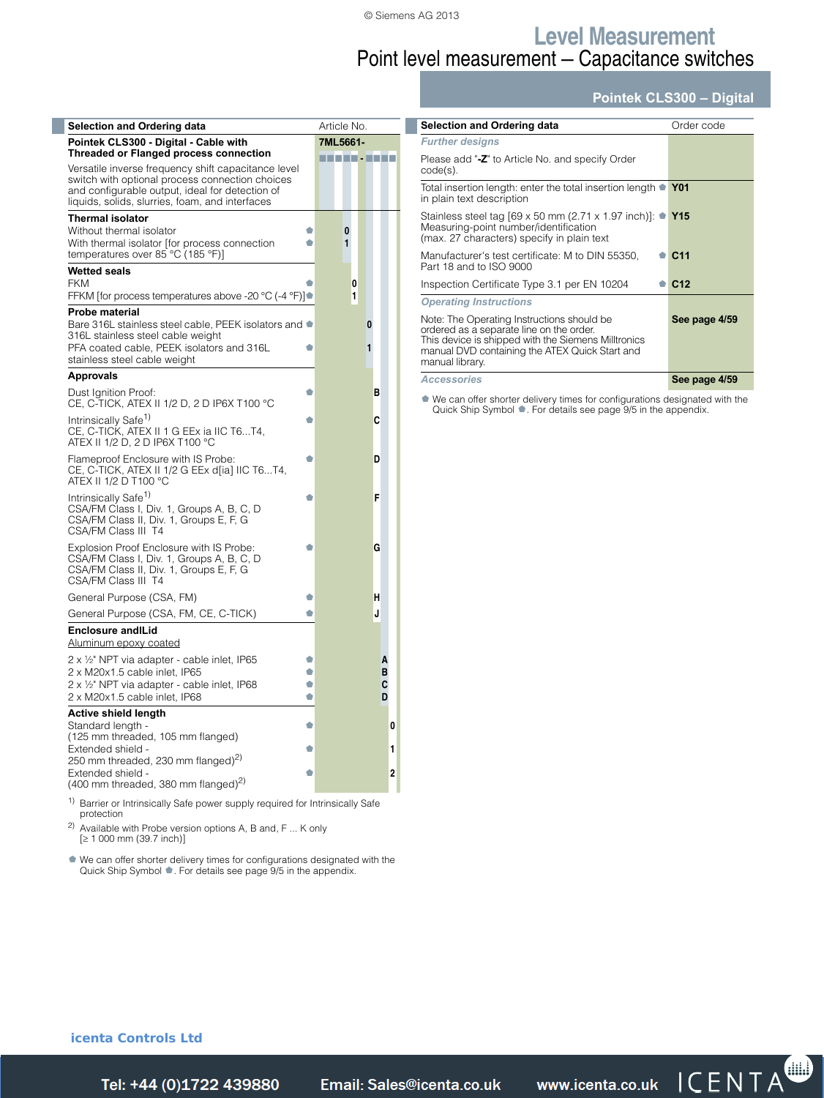I

### **Level Measurement** Point level measurement — Capacitance switches

#### **Pointek CLS300 – Digital**

| <b>Selection and Ordering data</b>                                                                                                                                                                                                                            |        | Article No. |        |        |        |  |
|---------------------------------------------------------------------------------------------------------------------------------------------------------------------------------------------------------------------------------------------------------------|--------|-------------|--------|--------|--------|--|
| Pointek CLS300 - Digital - Cable with                                                                                                                                                                                                                         |        | 7ML5661-    |        |        |        |  |
| <b>Threaded or Flanged process connection</b><br>Versatile inverse frequency shift capacitance level<br>switch with optional process connection choices<br>and configurable output, ideal for detection of<br>liquids, solids, slurries, foam, and interfaces |        | n in Frank  |        |        |        |  |
| <b>Thermal isolator</b><br>Without thermal isolator<br>With thermal isolator [for process connection<br>temperatures over 85 °C (185 °F)]                                                                                                                     | ٠<br>۵ |             | 0<br>1 |        |        |  |
| <b>Wetted seals</b><br><b>FKM</b><br>FFKM [for process temperatures above -20 °C (-4 °F)]●                                                                                                                                                                    |        |             | 0<br>1 |        |        |  |
| <b>Probe material</b><br>Bare 316L stainless steel cable, PEEK isolators and<br>316L stainless steel cable weight<br>PFA coated cable, PEEK isolators and 316L<br>stainless steel cable weight                                                                | ۰      |             |        | 0<br>1 |        |  |
| <b>Approvals</b>                                                                                                                                                                                                                                              |        |             |        |        |        |  |
| Dust Ignition Proof:<br>CE, C-TICK, ATEX II 1/2 D, 2 D IP6X T100 °C                                                                                                                                                                                           | ۰      |             |        |        | в      |  |
| Intrinsically Safe <sup>1)</sup><br>CE, C-TICK, ATEX II 1 G EEx ia IIC T6T4,<br>ATEX II 1/2 D, 2 D IP6X T100 °C                                                                                                                                               | ۰      |             |        |        | c      |  |
| Flameproof Enclosure with IS Probe:<br>CE, C-TICK, ATEX II 1/2 G EEx d[ia] IIC T6T4,<br>ATEX II 1/2 D T100 °C                                                                                                                                                 | ۰      |             |        |        | D      |  |
| Intrinsically Safe <sup>1)</sup><br>CSA/FM Class I, Div. 1, Groups A, B, C, D<br>CSA/FM Class II, Div. 1, Groups E, F, G<br>CSA/FM Class III T4                                                                                                               |        |             |        |        | F      |  |
| Explosion Proof Enclosure with IS Probe:<br>CSA/FM Class I, Div. 1, Groups A, B, C, D<br>CSA/FM Class II, Div. 1, Groups E, F, G<br>CSA/FM Class III T4                                                                                                       | ۰      |             |        |        | G      |  |
| General Purpose (CSA, FM)                                                                                                                                                                                                                                     | ۰      |             |        |        | н      |  |
| General Purpose (CSA, FM, CE, C-TICK)                                                                                                                                                                                                                         | ۰      |             |        |        | J      |  |
| <b>Enclosure and Lid</b><br>Aluminum epoxy coated                                                                                                                                                                                                             |        |             |        |        |        |  |
| 2 x 1/2" NPT via adapter - cable inlet, IP65                                                                                                                                                                                                                  | O      |             |        |        | А      |  |
| 2 x M20x1.5 cable inlet, IP65                                                                                                                                                                                                                                 | ۰      |             |        |        | в      |  |
| 2 x 1/2" NPT via adapter - cable inlet, IP68<br>2 x M20x1.5 cable inlet. IP68                                                                                                                                                                                 | ۰<br>۰ |             |        |        | C<br>D |  |
| <b>Active shield length</b>                                                                                                                                                                                                                                   |        |             |        |        |        |  |
| Standard length -<br>(125 mm threaded, 105 mm flanged)                                                                                                                                                                                                        | ۰      |             |        |        |        |  |
| Extended shield -                                                                                                                                                                                                                                             | ۰      |             |        |        |        |  |
| 250 mm threaded, 230 mm flanged) <sup>2)</sup>                                                                                                                                                                                                                |        |             |        |        |        |  |
| Extended shield -<br>$(400 \text{ mm}$ threaded, 380 mm flanged) <sup>2)</sup>                                                                                                                                                                                | ۰      |             |        |        |        |  |
| 1) $D = 1$ and $D = 1$ and $D = 1$ and $D = 1$ and $D = 1$ and $D = 1$ and $D = 1$                                                                                                                                                                            |        |             |        |        |        |  |

or Intrinsically Safe power supply required for Intrinsically Safe protection

2) Available with Probe version options A, B and, F ... K only  $[ \geq 1 000$  mm  $(39.7$  inch)]

¢ We can offer shorter delivery times for configurations designated with the Quick Ship Symbol ¢. For details see page 9/5 in the appendix.

| <b>Selection and Ordering data</b>                                                                                                                                                                                 | Order code      |
|--------------------------------------------------------------------------------------------------------------------------------------------------------------------------------------------------------------------|-----------------|
| <b>Further designs</b>                                                                                                                                                                                             |                 |
| Please add "-Z" to Article No. and specify Order<br>code(s).                                                                                                                                                       |                 |
| Total insertion length: enter the total insertion length $\bullet$ Y01<br>in plain text description                                                                                                                |                 |
| Stainless steel tag [69 x 50 mm (2.71 x 1.97 inch)]: $\bullet$ Y15<br>Measuring-point number/identification<br>(max. 27 characters) specify in plain text                                                          |                 |
| Manufacturer's test certificate: M to DIN 55350,<br>Part 18 and to ISO 9000                                                                                                                                        | C <sub>11</sub> |
| Inspection Certificate Type 3.1 per EN 10204                                                                                                                                                                       | C <sub>12</sub> |
| <b>Operating Instructions</b>                                                                                                                                                                                      |                 |
| Note: The Operating Instructions should be<br>ordered as a separate line on the order.<br>This device is shipped with the Siemens Milltronics<br>manual DVD containing the ATEX Quick Start and<br>manual library. | See page 4/59   |
| <b>Accessories</b>                                                                                                                                                                                                 | See page 4/59   |

¢ We can offer shorter delivery times for configurations designated with the Quick Ship Symbol ¢. For details see page 9/5 in the appendix.

**icenta Controls Ltd** 

Siemens FI 01 · 2014 **4/57** *Tel: +44 (0)1722 41 Fax: +44 (0)1722 e: sales@icenta.co.uk www.icenta.co.uk*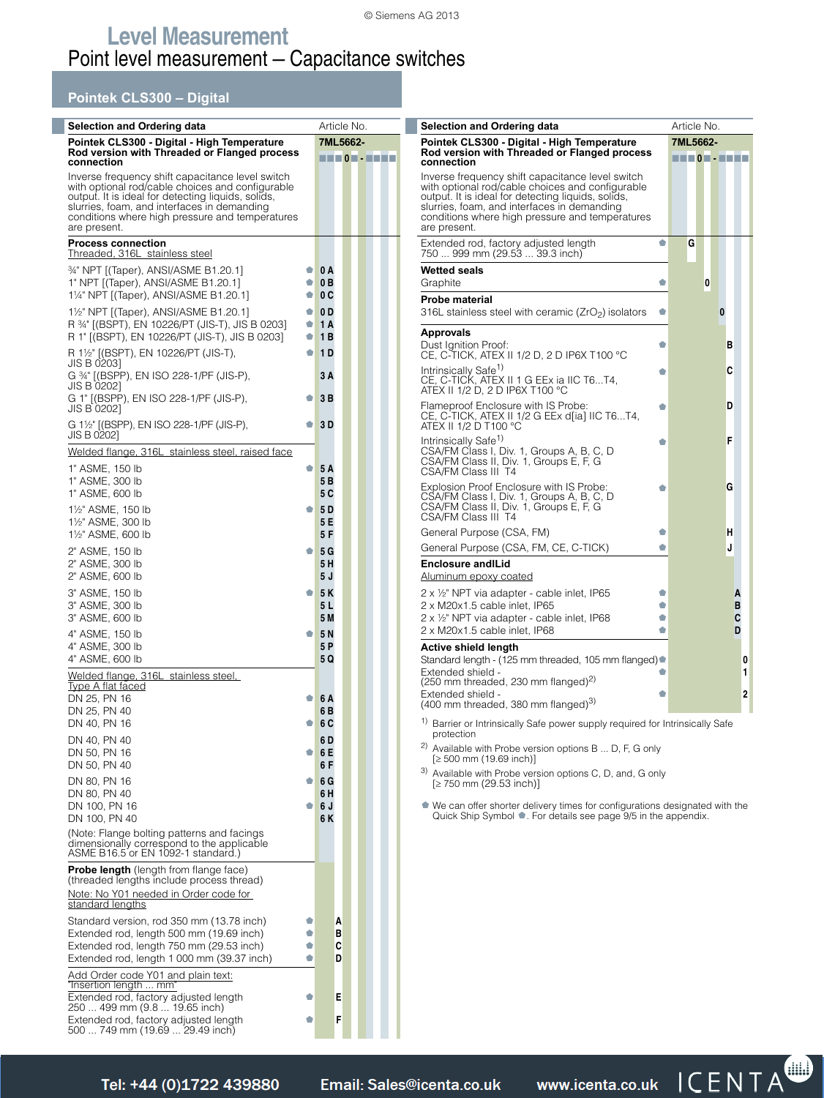#### **Pointek CLS300 – Digital**

| <b>Selection and Ordering data</b>                                                                                                                                                                                                                                         | Article No.            |                      |        |  |  |  |
|----------------------------------------------------------------------------------------------------------------------------------------------------------------------------------------------------------------------------------------------------------------------------|------------------------|----------------------|--------|--|--|--|
| Pointek CLS300 - Digital - High Temperature                                                                                                                                                                                                                                | 7ML5662-               |                      |        |  |  |  |
| Rod version with Threaded or Flanged process                                                                                                                                                                                                                               |                        |                      |        |  |  |  |
| connection<br>Inverse frequency shift capacitance level switch<br>with optional rod/cable choices and configurable<br>output. It is ideal for detecting liquids, solids,<br>slurries, foam, and interfaces in demanding<br>conditions where high pressure and temperatures |                        |                      |        |  |  |  |
| are present.                                                                                                                                                                                                                                                               |                        |                      |        |  |  |  |
| <b>Process connection</b><br><u>Threaded, 316L stainless steel</u>                                                                                                                                                                                                         |                        |                      |        |  |  |  |
| 34" NPT [(Taper), ANSI/ASME B1.20.1]                                                                                                                                                                                                                                       | 01                     | 0A                   |        |  |  |  |
| 1" NPT [(Taper), ANSI/ASME B1.20.1]<br>11/4" NPT [(Taper), ANSI/ASME B1.20.1]                                                                                                                                                                                              | $\bullet$<br>$\bullet$ | 0B<br>0 C            |        |  |  |  |
| 11/2" NPT [(Taper), ANSI/ASME B1.20.1]<br>R 34" [(BSPT), EN 10226/PT (JIS-T), JIS B 0203]                                                                                                                                                                                  | $\bullet$<br>0         | 0 <sub>D</sub><br>1A |        |  |  |  |
| R 1" [(BSPT), EN 10226/PT (JIS-T), JIS B 0203]                                                                                                                                                                                                                             | ۰                      | 1B                   |        |  |  |  |
| R 1½" [(BSPT), EN 10226/PT (JIS-T),<br>JIS B 02031                                                                                                                                                                                                                         | ۰                      | <b>1D</b>            |        |  |  |  |
| G 34" ((BSPP), EN ISO 228-1/PF (JIS-P),<br>JIS B 02021                                                                                                                                                                                                                     |                        | 3 A                  |        |  |  |  |
| G 1" [(BSPP), EN ISO 228-1/PF (JIS-P),<br>JIS B 02021                                                                                                                                                                                                                      |                        | 3 B                  |        |  |  |  |
| G 1½" [(BSPP), EN ISO 228-1/PF (JIS-P),<br>JIS B 0202]                                                                                                                                                                                                                     | ۰                      | 3 D                  |        |  |  |  |
| Welded flange, 316L stainless steel, raised face                                                                                                                                                                                                                           |                        |                      |        |  |  |  |
| 1" ASME, 150 lb                                                                                                                                                                                                                                                            | ۰                      | 5 A                  |        |  |  |  |
| 1" ASME, 300 lb<br>1" ASME, 600 lb                                                                                                                                                                                                                                         |                        | 5 B<br>5 C           |        |  |  |  |
| 11/ <sub>2</sub> " ASME, 150 lb<br>11/2" ASME, 300 lb                                                                                                                                                                                                                      |                        | <b>5D</b><br>5 E     |        |  |  |  |
| 11/2" ASME, 600 lb                                                                                                                                                                                                                                                         |                        | 5 F                  |        |  |  |  |
| 2" ASME, 150 lb<br>2" ASME, 300 lb                                                                                                                                                                                                                                         | ۰                      | 5G<br>5 H            |        |  |  |  |
| 2" ASME, 600 lb                                                                                                                                                                                                                                                            |                        | 5 J                  |        |  |  |  |
| 3" ASME, 150 lb<br>3" ASME, 300 lb                                                                                                                                                                                                                                         | ۰                      | <b>5K</b><br>5 L     |        |  |  |  |
| 3" ASME, 600 lb                                                                                                                                                                                                                                                            |                        | 5 M                  |        |  |  |  |
| 4" ASME, 150 lb<br>4" ASME, 300 lb                                                                                                                                                                                                                                         | ۰                      | 5 N<br>5 P           |        |  |  |  |
| 4" ASME, 600 lb<br>Welded flange, 316L stainless steel,                                                                                                                                                                                                                    |                        | 5 Q                  |        |  |  |  |
| <b>Type A flat faced</b><br>DN 25, PN 16                                                                                                                                                                                                                                   | ۰                      | 6 A                  |        |  |  |  |
| DN 25, PN 40                                                                                                                                                                                                                                                               |                        | 6 B                  |        |  |  |  |
| DN 40, PN 16<br>DN 40, PN 40                                                                                                                                                                                                                                               | ۰                      | 6 C                  |        |  |  |  |
| DN 50, PN 16                                                                                                                                                                                                                                                               | ۰                      | 6 D<br>6 E           |        |  |  |  |
| DN 50, PN 40                                                                                                                                                                                                                                                               |                        | 6 F                  |        |  |  |  |
| DN 80, PN 16<br>DN 80, PN 40                                                                                                                                                                                                                                               | ۰                      | 6 G<br>6 H           |        |  |  |  |
| DN 100, PN 16                                                                                                                                                                                                                                                              | ۰                      | 6 J                  |        |  |  |  |
| DN 100, PN 40<br>(Note: Flange bolting patterns and facings                                                                                                                                                                                                                |                        | 6 K                  |        |  |  |  |
| dimensionally correspond to the applicable<br>ASME B16.5 or EN 1092-1 standard.)                                                                                                                                                                                           |                        |                      |        |  |  |  |
| Probe length (length from flange face)<br>(threaded lengths include process thread)<br>Note: No Y01 needed in Order code for<br>standard lengths                                                                                                                           |                        |                      |        |  |  |  |
| Standard version, rod 350 mm (13.78 inch)                                                                                                                                                                                                                                  | ۰                      |                      | A      |  |  |  |
| Extended rod, length 500 mm (19.69 inch)<br>Extended rod, length 750 mm (29.53 inch)                                                                                                                                                                                       | ۰<br>¢                 |                      | в<br>C |  |  |  |
| Extended rod, length 1 000 mm (39.37 inch)                                                                                                                                                                                                                                 | ۰                      |                      | D      |  |  |  |
| Add Order code Y01 and plain text:<br>'Insertion length  mm'                                                                                                                                                                                                               |                        |                      |        |  |  |  |
| Extended rod, factory adjusted length<br>250  499 mm (9.8  19.65 inch)                                                                                                                                                                                                     | ۰                      |                      | Ε      |  |  |  |
| Extended rod, factory adjusted length<br>500  749 mm (19.69  29.49 inch)                                                                                                                                                                                                   | o                      |                      | F      |  |  |  |
|                                                                                                                                                                                                                                                                            |                        |                      |        |  |  |  |

| Selection and Ordering data                                                                                                                                                                                                                                                                |        |                         |   |   |   |                  |             |
|--------------------------------------------------------------------------------------------------------------------------------------------------------------------------------------------------------------------------------------------------------------------------------------------|--------|-------------------------|---|---|---|------------------|-------------|
| Pointek CLS300 - Digital - High Temperature                                                                                                                                                                                                                                                |        | Article No.<br>7ML5662- |   |   |   |                  |             |
| Rod version with Threaded or Flanged process                                                                                                                                                                                                                                               |        |                         |   |   |   |                  |             |
| connection<br>Inverse frequency shift capacitance level switch<br>with optional rod/cable choices and configurable<br>output. It is ideal for detecting liquids, solids,<br>slurries, foam, and interfaces in demanding<br>conditions where high pressure and temperatures<br>are present. |        |                         |   |   |   |                  |             |
| Extended rod, factory adjusted length<br>750  999 mm (29.53  39.3 inch)                                                                                                                                                                                                                    | ۰      |                         | G |   |   |                  |             |
| <b>Wetted seals</b><br>Graphite                                                                                                                                                                                                                                                            | O      |                         |   | 0 |   |                  |             |
| Probe material<br>316L stainless steel with ceramic $(ZrO2)$ isolators                                                                                                                                                                                                                     | ۰      |                         |   |   | 0 |                  |             |
| <b>Approvals</b><br>Dust Ignition Proof:<br>CE, C-TICK, ATEX II 1/2 D, 2 D IP6X T100 °C                                                                                                                                                                                                    | ŵ      |                         |   |   | в |                  |             |
| Intrinsically Safe <sup>1)</sup><br>CE, C-TICK, ATEX II 1 G EEx ia IIC T6T4,<br>ATEX II 1/2 D, 2 D IP6X T100 °C                                                                                                                                                                            | ۰      |                         |   |   | C |                  |             |
| Flameproof Enclosure with IS Probe:<br>CE, C-TICK, ATEX II 1/2 G EEx d[ia] IIC T6T4,<br>ATEX II 1/2 D T100 °C                                                                                                                                                                              | ŵ      |                         |   |   | D |                  |             |
| Intrinsically Safe <sup>1)</sup><br>CSA/FM Class I, Div. 1, Groups A, B, C, D<br>CSA/FM Class II, Div. 1, Groups E, F, G<br>CSA/FM Class III T4                                                                                                                                            | ۰      |                         |   |   | F |                  |             |
| <b>Explosion Proof Enclosure with IS Probe:</b><br>CSA/FM Class I, Div. 1, Groups A, B, C, D<br>CSA/FM Class II, Div. 1, Groups E, F, G<br>CSA/FM Class III T4                                                                                                                             | ۰      |                         |   |   | G |                  |             |
| General Purpose (CSA, FM)                                                                                                                                                                                                                                                                  | ۰      |                         |   |   | н |                  |             |
| General Purpose (CSA, FM, CE, C-TICK)                                                                                                                                                                                                                                                      | ŵ      |                         |   |   | J |                  |             |
| <b>Enclosure andlLid</b><br>Aluminum epoxy coated                                                                                                                                                                                                                                          |        |                         |   |   |   |                  |             |
| 2 x 1/2" NPT via adapter - cable inlet, IP65<br>2 x M20x1.5 cable inlet, IP65<br>2 x 1/2" NPT via adapter - cable inlet, IP68<br>2 x M20x1.5 cable inlet, IP68                                                                                                                             | ۰<br>۰ |                         |   |   |   | Α<br>в<br>C<br>D |             |
| Active shield length<br>Standard length - (125 mm threaded, 105 mm flanged)<br>Extended shield -<br>$(250 \text{ mm}$ threaded, 230 mm flanged) <sup>2)</sup><br>Extended shield -<br>(400 mm threaded, 380 mm flanged) <sup>3)</sup>                                                      |        |                         |   |   |   |                  | 0<br>1<br>2 |
| <sup>1)</sup> Barrier or Intrinsically Safe power supply required for Intrinsically Safe<br>protection                                                                                                                                                                                     |        |                         |   |   |   |                  |             |

<sup>2)</sup> Available with Probe version options B ... D, F, G only  $[≥ 500$  mm (19.69 inch)]

3) Available with Probe version options C, D, and, G only

 $[2750 \text{ mm} (29.53 \text{ inch})]$ 

¢ We can offer shorter delivery times for configurations designated with the Quick Ship Symbol ¢. For details see page 9/5 in the appendix.

|  | Tel: +44 (0)1722 439880 |
|--|-------------------------|
|  |                         |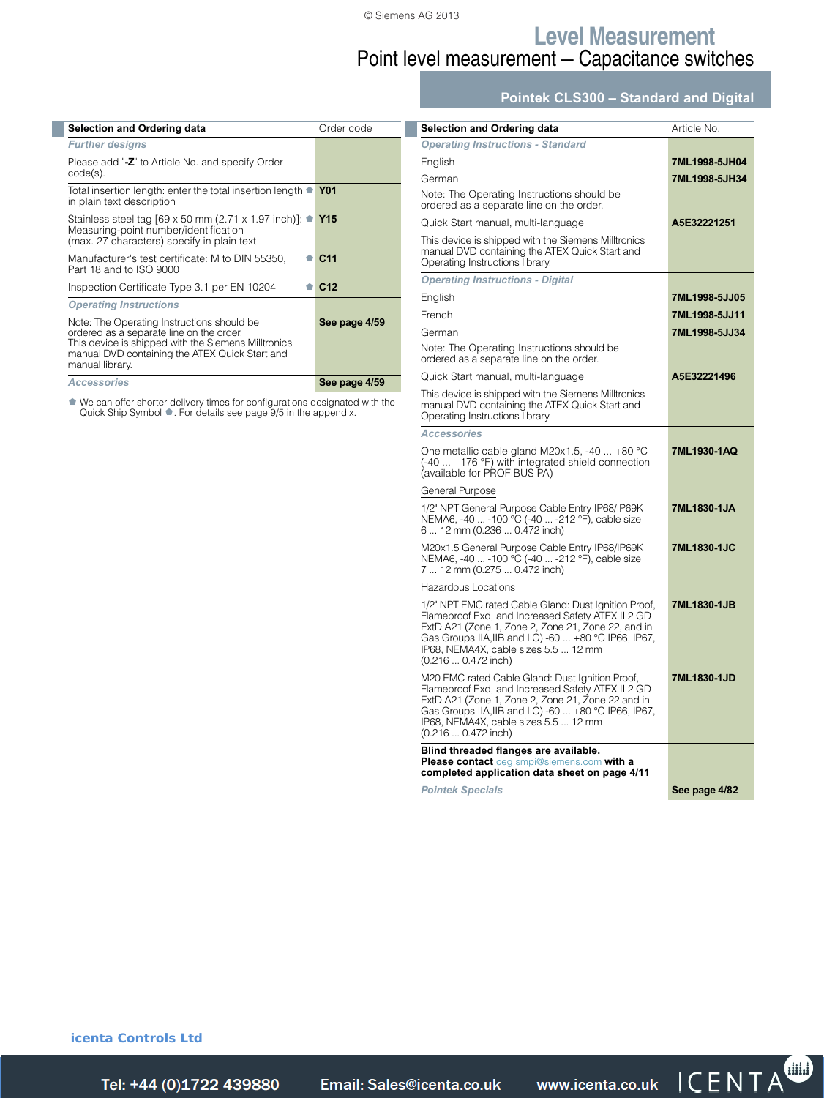### **Level Measurement** Point level measurement — Capacitance switches

**Pointek CLS300 – Standard and Digital**

| <b>Selection and Ordering data</b>                                                                                                                                                                                 | Order code      |
|--------------------------------------------------------------------------------------------------------------------------------------------------------------------------------------------------------------------|-----------------|
| <b>Further designs</b>                                                                                                                                                                                             |                 |
| Please add "-Z" to Article No. and specify Order<br>$code(s)$ .                                                                                                                                                    |                 |
| Total insertion length: enter the total insertion length •<br>in plain text description                                                                                                                            | <b>Y01</b>      |
| Stainless steel tag [69 x 50 mm (2.71 x 1.97 inch)]: $\bullet$ Y15<br>Measuring-point number/identification<br>(max. 27 characters) specify in plain text                                                          |                 |
| Manufacturer's test certificate: M to DIN 55350,<br>Part 18 and to ISO 9000                                                                                                                                        | C <sub>11</sub> |
| Inspection Certificate Type 3.1 per EN 10204                                                                                                                                                                       | C <sub>12</sub> |
| <b>Operating Instructions</b>                                                                                                                                                                                      |                 |
| Note: The Operating Instructions should be<br>ordered as a separate line on the order.<br>This device is shipped with the Siemens Milltronics<br>manual DVD containing the ATEX Quick Start and<br>manual library. | See page 4/59   |
| <b>Accessories</b>                                                                                                                                                                                                 | See page 4/59   |

¢ We can offer shorter delivery times for configurations designated with the Quick Ship Symbol ¢. For details see page 9/5 in the appendix.

| <b>Selection and Ordering data</b>                                                                                                                                                                                                                                                     | Article No.   |
|----------------------------------------------------------------------------------------------------------------------------------------------------------------------------------------------------------------------------------------------------------------------------------------|---------------|
| <b>Operating Instructions - Standard</b>                                                                                                                                                                                                                                               |               |
| English                                                                                                                                                                                                                                                                                | 7ML1998-5JH04 |
| German                                                                                                                                                                                                                                                                                 | 7ML1998-5JH34 |
| Note: The Operating Instructions should be<br>ordered as a separate line on the order.                                                                                                                                                                                                 |               |
| Quick Start manual, multi-language                                                                                                                                                                                                                                                     | A5E32221251   |
| This device is shipped with the Siemens Milltronics<br>manual DVD containing the ATEX Quick Start and<br>Operating Instructions library.                                                                                                                                               |               |
| <b>Operating Instructions - Digital</b>                                                                                                                                                                                                                                                |               |
| English                                                                                                                                                                                                                                                                                | 7ML1998-5JJ05 |
| French                                                                                                                                                                                                                                                                                 | 7ML1998-5JJ11 |
| German                                                                                                                                                                                                                                                                                 | 7ML1998-5JJ34 |
| Note: The Operating Instructions should be<br>ordered as a separate line on the order.                                                                                                                                                                                                 |               |
| Quick Start manual, multi-language                                                                                                                                                                                                                                                     | A5E32221496   |
| This device is shipped with the Siemens Milltronics<br>manual DVD containing the ATEX Quick Start and<br>Operating Instructions library.                                                                                                                                               |               |
| <b>Accessories</b>                                                                                                                                                                                                                                                                     |               |
| One metallic cable gland M20x1.5, -40  +80 °C<br>$(-40 +176)$ °F) with integrated shield connection<br>(available for PROFIBUS PA)                                                                                                                                                     | 7ML1930-1AQ   |
| General Purpose                                                                                                                                                                                                                                                                        |               |
| 1/2" NPT General Purpose Cable Entry IP68/IP69K<br>NEMA6, -40  -100 °C (-40  -212 °F), cable size<br>6  12 mm (0.236  0.472 inch)                                                                                                                                                      | 7ML1830-1JA   |
| M20x1.5 General Purpose Cable Entry IP68/IP69K<br>NEMA6, -40  -100 °C (-40  -212 °F), cable size<br>7  12 mm (0.275  0.472 inch)                                                                                                                                                       | 7ML1830-1JC   |
| Hazardous Locations                                                                                                                                                                                                                                                                    |               |
| 1/2" NPT EMC rated Cable Gland: Dust Ignition Proof,<br>Flameproof Exd, and Increased Safety ATEX II 2 GD<br>ExtD A21 (Zone 1, Zone 2, Zone 21, Zone 22, and in<br>Gas Groups IIA, IIB and IIC) -60  +80 °C IP66, IP67,<br>IP68, NEMA4X, cable sizes 5.5  12 mm<br>(0.216  0.472 inch) | 7ML1830-1JB   |
| M20 EMC rated Cable Gland: Dust Ignition Proof,<br>Flameproof Exd, and Increased Safety ATEX II 2 GD<br>ExtD A21 (Zone 1, Zone 2, Zone 21, Zone 22 and in<br>Gas Groups IIA, IIB and IIC) -60  +80 °C IP66, IP67,<br>IP68, NEMA4X, cable sizes 5.5  12 mm<br>(0.216  0.472 inch)       | 7ML1830-1JD   |
| Blind threaded flanges are available.<br>Please contact ceg.smpi@siemens.com with a<br>completed application data sheet on page 4/11                                                                                                                                                   |               |
| <b>Pointek Specials</b>                                                                                                                                                                                                                                                                | See page 4/82 |
|                                                                                                                                                                                                                                                                                        |               |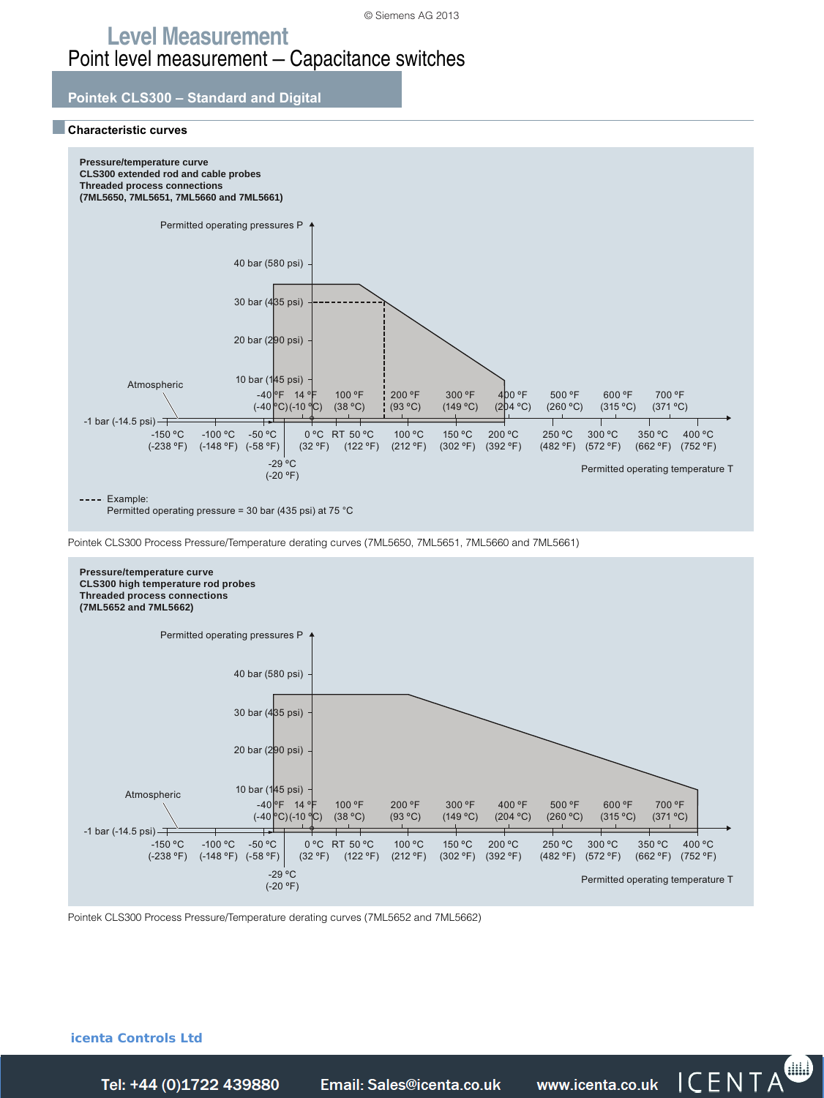### **Level Measurement** Point level measurement — Capacitance switches

#### **Pointek CLS300 – Standard and Digital**

#### ■**Characteristic curves**



Permitted operating pressure = 30 bar (435 psi) at 75 °C

Pointek CLS300 Process Pressure/Temperature derating curves (7ML5650, 7ML5651, 7ML5660 and 7ML5661)

![](_page_15_Figure_7.jpeg)

Pointek CLS300 Process Pressure/Temperature derating curves (7ML5652 and 7ML5662)

**icenta Controls Ltd** 

Tel: +44 (0)1722 439880

*Telain: Sales@icenta.co.uk* www.icenta.co.uk  $\overline{ICENTA}$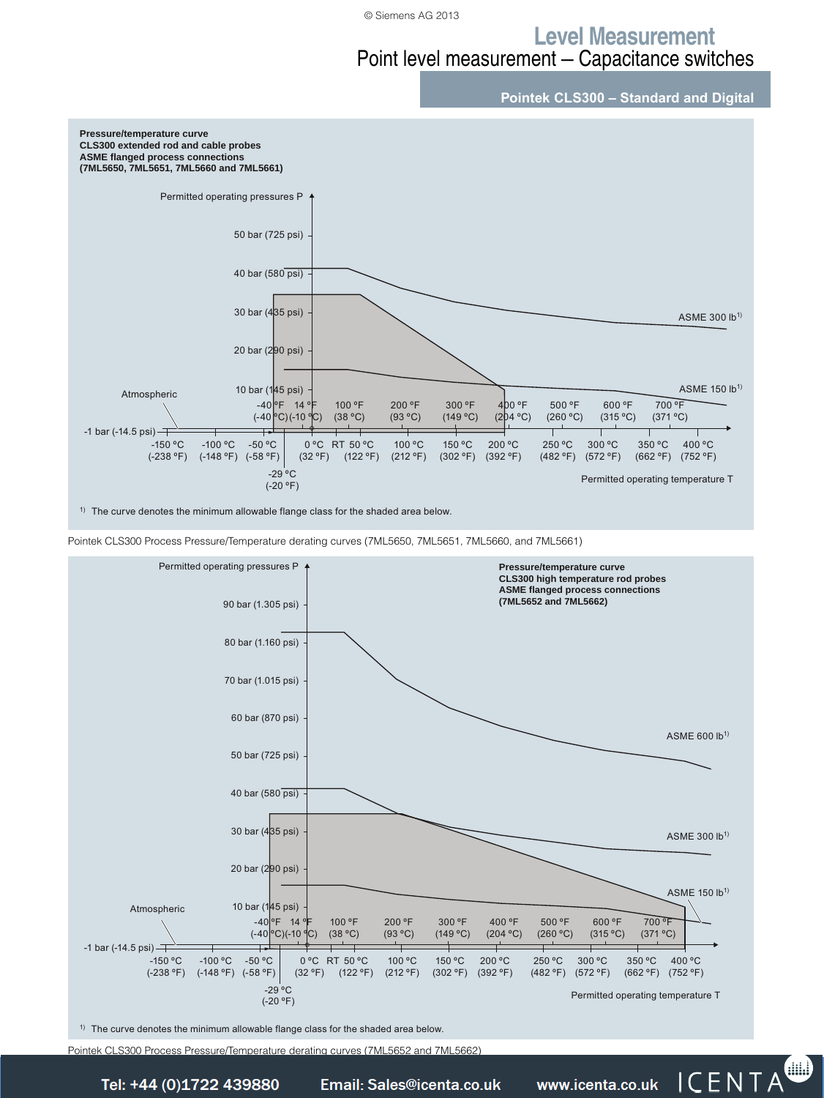### **Level Measurement**

## Point level measurement — Capacitance switches

![](_page_16_Figure_3.jpeg)

![](_page_16_Figure_4.jpeg)

Pointek CLS300 Process Pressure/Temperature derating curves (7ML5650, 7ML5651, 7ML5660, and 7ML5661)

![](_page_16_Figure_6.jpeg)

 $1)$  The curve denotes the minimum allowable flange class for the shaded area below.

Pointek CLS300 Process Pressure/Temperature derating curves (7ML5652 and 7ML5662)

Siemens FI 01 · 2014 **4/61** *Tel: +44 (0)1722 41 Fax: +44 (0)1722 e: sales@icenta.co.uk www.icenta.co.uk*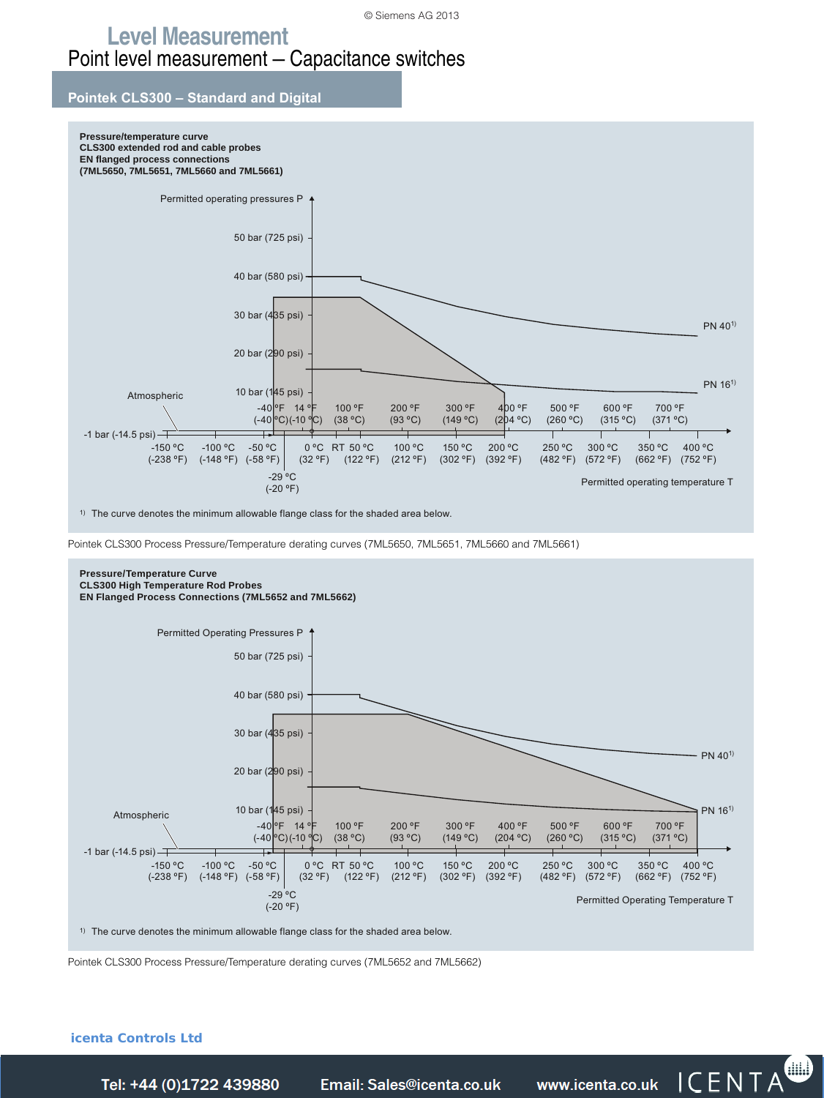### **Level Measurement** Point level measurement — Capacitance switches

#### **Pointek CLS300 – Standard and Digital**

![](_page_17_Figure_3.jpeg)

 $1)$  The curve denotes the minimum allowable flange class for the shaded area below.

Pointek CLS300 Process Pressure/Temperature derating curves (7ML5650, 7ML5651, 7ML5660 and 7ML5661)

![](_page_17_Figure_6.jpeg)

Pointek CLS300 Process Pressure/Temperature derating curves (7ML5652 and 7ML5662)

#### **icenta Controls Ltd**

Tel: +44 (0)1722 439880

*Telail: Sales@icenta.co.uk* www.icenta.co.uk  $\overline{CENTA}$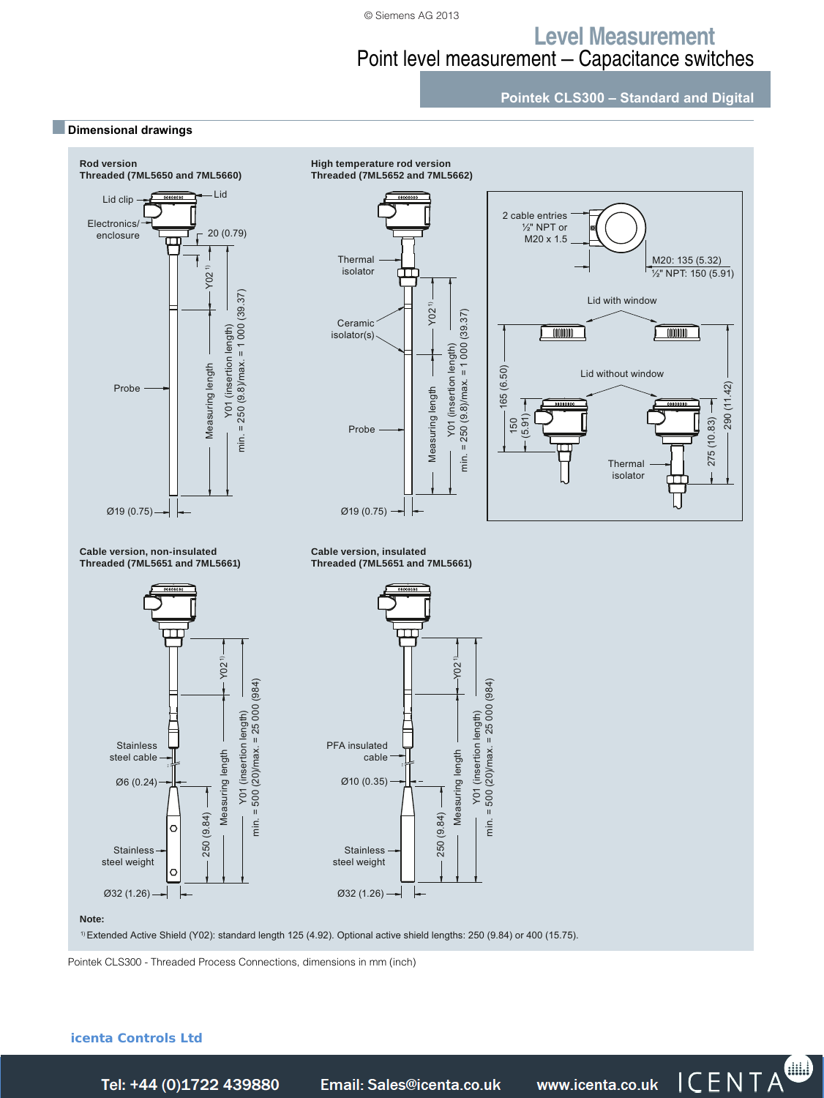### **Level Measurement** Point level measurement — Capacitance switches

**Pointek CLS300 – Standard and Digital**

![](_page_18_Figure_3.jpeg)

Pointek CLS300 - Threaded Process Connections, dimensions in mm (inch)

#### **icenta Controls Ltd**

■**Dimensional drawings**

Siemens FI 01 · 2014 **4/63** *Tel: +44 (0)1722 41 Fax: +44 (0)1722 e: sales@icenta.co.uk www.icenta.co.uk*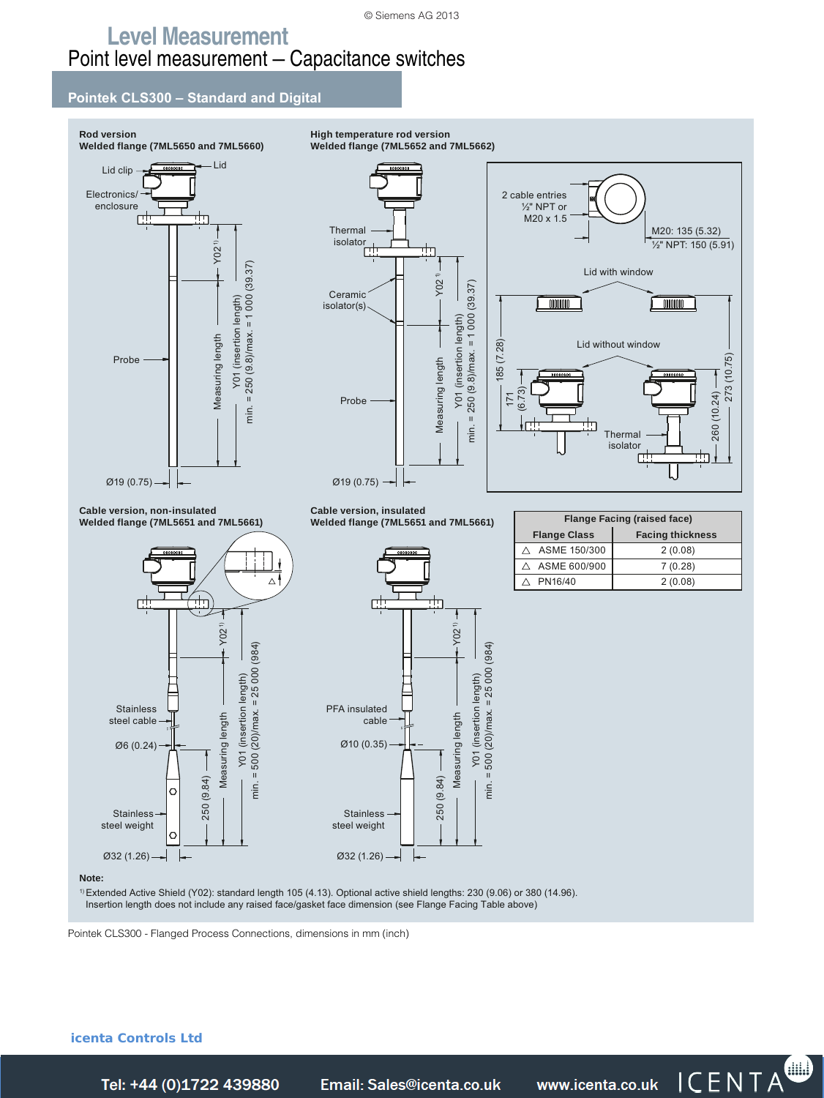#### **Pointek CLS300 – Standard and Digital**

![](_page_19_Figure_3.jpeg)

*Tel: +44 (0)1722 41 Fax: +44 (0)1722 e: sales@icenta.co.uk www.icenta.co.uk* 

**icenta Controls Ltd** 

Tel: +44 (0)1722 439880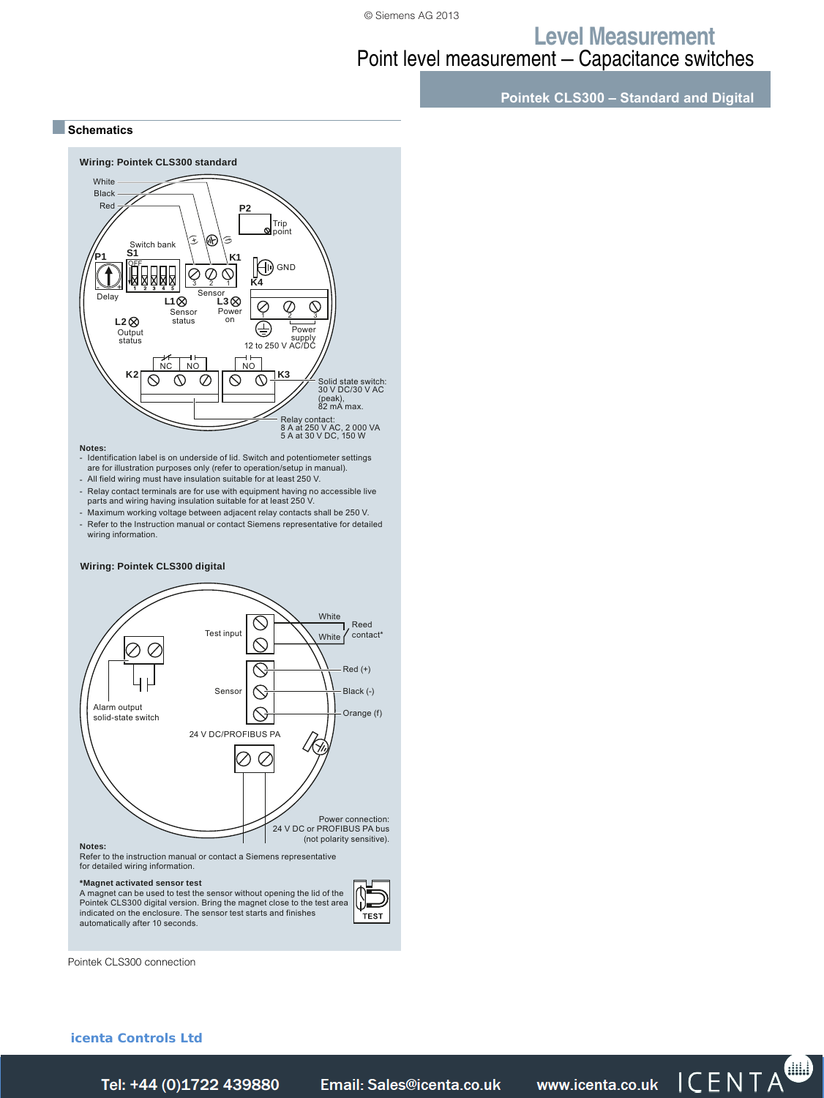### **Level Measurement** Point level measurement — Capacitance switches

**Pointek CLS300 – Standard and Digital**

■**Schematics**

![](_page_20_Figure_4.jpeg)

A magnet can be used to test the sensor without opening the lid of the<br>Pointek CLS300 digital version. Bring the magnet close to the test area<br>indicated on the enclosure. The sensor test starts and finishes automatically after 10 seconds.

Pointek CLS300 connection

#### **icenta Controls Ltd**

TEST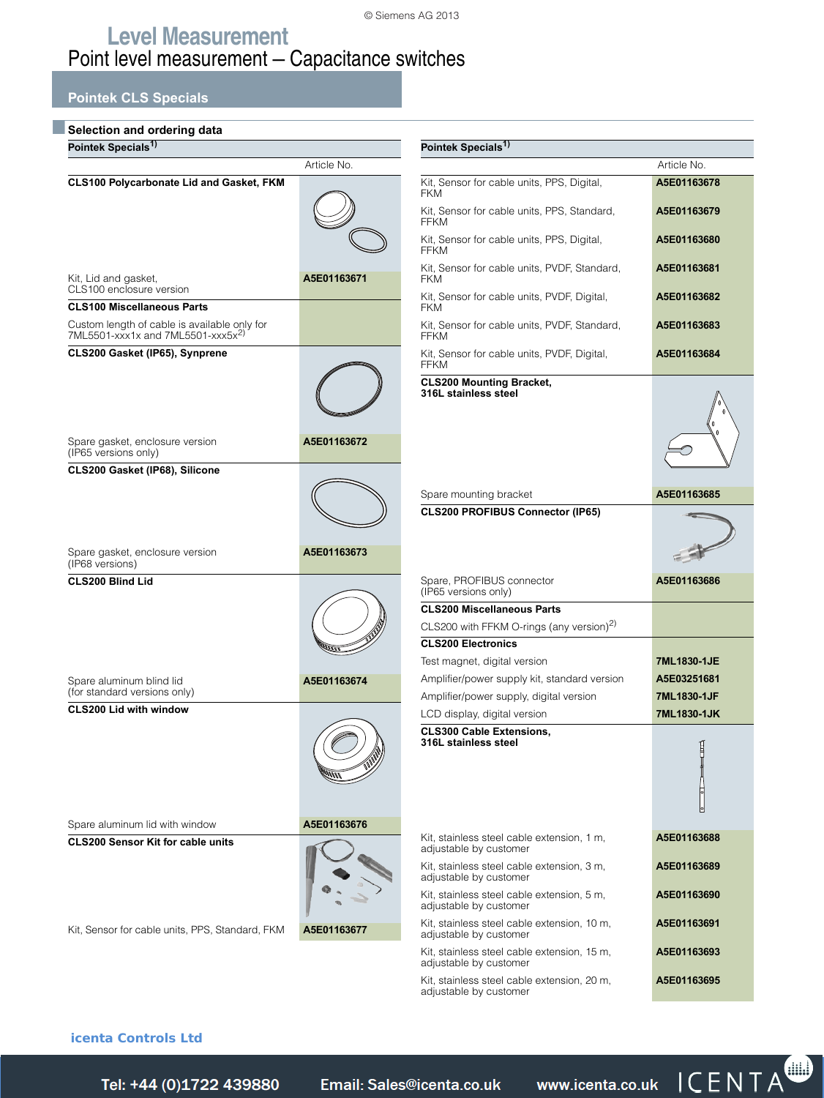### **Pointek CLS Specials**

| Selection and ordering data                                                                   |             |                                                                              |             |  |  |  |  |  |
|-----------------------------------------------------------------------------------------------|-------------|------------------------------------------------------------------------------|-------------|--|--|--|--|--|
| Pointek Specials <sup>1)</sup>                                                                |             | Pointek Specials <sup>1)</sup>                                               |             |  |  |  |  |  |
|                                                                                               | Article No. |                                                                              | Article No. |  |  |  |  |  |
| <b>CLS100 Polycarbonate Lid and Gasket, FKM</b>                                               |             | Kit, Sensor for cable units, PPS, Digital,<br><b>FKM</b>                     | A5E01163678 |  |  |  |  |  |
|                                                                                               |             | Kit, Sensor for cable units, PPS, Standard,<br><b>FFKM</b>                   | A5E01163679 |  |  |  |  |  |
|                                                                                               |             | Kit, Sensor for cable units, PPS, Digital,<br><b>FFKM</b>                    | A5E01163680 |  |  |  |  |  |
| Kit, Lid and gasket,<br>CLS100 enclosure version                                              | A5E01163671 | Kit, Sensor for cable units, PVDF, Standard,<br><b>FKM</b>                   | A5E01163681 |  |  |  |  |  |
| <b>CLS100 Miscellaneous Parts</b>                                                             |             | Kit, Sensor for cable units, PVDF, Digital,<br><b>FKM</b>                    | A5E01163682 |  |  |  |  |  |
| Custom length of cable is available only for<br>7ML5501-xxx1x and 7ML5501-xxx5x <sup>2)</sup> |             | Kit, Sensor for cable units, PVDF, Standard,<br><b>FFKM</b>                  | A5E01163683 |  |  |  |  |  |
| CLS200 Gasket (IP65), Synprene                                                                |             | Kit, Sensor for cable units, PVDF, Digital,<br><b>FFKM</b>                   | A5E01163684 |  |  |  |  |  |
| Spare gasket, enclosure version<br>(IP65 versions only)                                       | A5E01163672 | <b>CLS200 Mounting Bracket,</b><br>316L stainless steel                      |             |  |  |  |  |  |
| CLS200 Gasket (IP68), Silicone                                                                |             |                                                                              |             |  |  |  |  |  |
|                                                                                               |             |                                                                              |             |  |  |  |  |  |
|                                                                                               |             | Spare mounting bracket<br><b>CLS200 PROFIBUS Connector (IP65)</b>            | A5E01163685 |  |  |  |  |  |
| Spare gasket, enclosure version                                                               | A5E01163673 |                                                                              |             |  |  |  |  |  |
| (IP68 versions)<br><b>CLS200 Blind Lid</b>                                                    |             | Spare, PROFIBUS connector                                                    | A5E01163686 |  |  |  |  |  |
|                                                                                               |             | (IP65 versions only)                                                         |             |  |  |  |  |  |
|                                                                                               |             | <b>CLS200 Miscellaneous Parts</b>                                            |             |  |  |  |  |  |
|                                                                                               |             | CLS200 with FFKM O-rings (any version) <sup>2)</sup>                         |             |  |  |  |  |  |
|                                                                                               |             | <b>CLS200 Electronics</b>                                                    | 7ML1830-1JE |  |  |  |  |  |
| Spare aluminum blind lid                                                                      | A5E01163674 | Test magnet, digital version<br>Amplifier/power supply kit, standard version | A5E03251681 |  |  |  |  |  |
| (for standard versions only)                                                                  |             | Amplifier/power supply, digital version                                      | 7ML1830-1JF |  |  |  |  |  |
| <b>CLS200 Lid with window</b>                                                                 |             | LCD display, digital version                                                 | 7ML1830-1JK |  |  |  |  |  |
|                                                                                               |             | <b>CLS300 Cable Extensions.</b><br>316L stainless steel                      |             |  |  |  |  |  |
| Spare aluminum lid with window                                                                | A5E01163676 | Kit, stainless steel cable extension, 1 m,                                   | A5E01163688 |  |  |  |  |  |
| <b>CLS200 Sensor Kit for cable units</b>                                                      |             | adjustable by customer                                                       |             |  |  |  |  |  |
|                                                                                               |             | Kit, stainless steel cable extension, 3 m,<br>adjustable by customer         | A5E01163689 |  |  |  |  |  |
|                                                                                               |             | Kit, stainless steel cable extension, 5 m,<br>adjustable by customer         | A5E01163690 |  |  |  |  |  |
| Kit, Sensor for cable units, PPS, Standard, FKM                                               | A5E01163677 | Kit, stainless steel cable extension, 10 m,<br>adjustable by customer        | A5E01163691 |  |  |  |  |  |
|                                                                                               |             | Kit, stainless steel cable extension, 15 m,<br>adjustable by customer        | A5E01163693 |  |  |  |  |  |
|                                                                                               |             | Kit, stainless steel cable extension, 20 m,<br>adjustable by customer        | A5E01163695 |  |  |  |  |  |

#### **icenta Controls Ltd**

Tel: +44 (0)1722 439880

*Telail: Sales@icenta.co.uk* www.icenta.co.uk  $\mathsf{TCENTA}^{\bullet}$